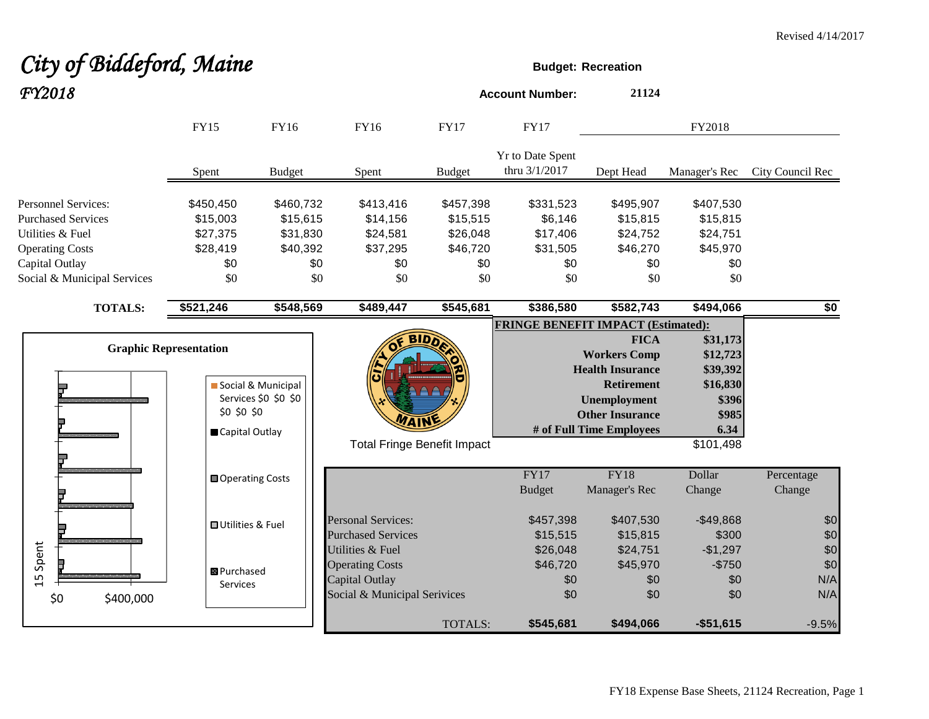# City of Biddeford, Maine **Budget:** Recreation *FY2018* **Account Number: <sup>21124</sup>**

|                                                                                                                                                        | <b>FY15</b>                                                    | <b>FY16</b>                                                 | <b>FY16</b>                                                                                  | <b>FY17</b>                                                 | <b>FY17</b>                                                |                                                                                                                                                                 | FY2018                                                                              |                          |
|--------------------------------------------------------------------------------------------------------------------------------------------------------|----------------------------------------------------------------|-------------------------------------------------------------|----------------------------------------------------------------------------------------------|-------------------------------------------------------------|------------------------------------------------------------|-----------------------------------------------------------------------------------------------------------------------------------------------------------------|-------------------------------------------------------------------------------------|--------------------------|
|                                                                                                                                                        | Spent                                                          | <b>Budget</b>                                               | Spent                                                                                        | <b>Budget</b>                                               | Yr to Date Spent<br>thru 3/1/2017                          | Dept Head                                                                                                                                                       | Manager's Rec                                                                       | City Council Rec         |
| <b>Personnel Services:</b><br><b>Purchased Services</b><br>Utilities & Fuel<br><b>Operating Costs</b><br>Capital Outlay<br>Social & Municipal Services | \$450,450<br>\$15,003<br>\$27,375<br>\$28,419<br>\$0<br>\$0    | \$460,732<br>\$15,615<br>\$31,830<br>\$40,392<br>\$0<br>\$0 | \$413,416<br>\$14,156<br>\$24,581<br>\$37,295<br>\$0<br>\$0                                  | \$457,398<br>\$15,515<br>\$26,048<br>\$46,720<br>\$0<br>\$0 | \$331,523<br>\$6,146<br>\$17,406<br>\$31,505<br>\$0<br>\$0 | \$495,907<br>\$15,815<br>\$24,752<br>\$46,270<br>\$0<br>\$0                                                                                                     | \$407,530<br>\$15,815<br>\$24,751<br>\$45,970<br>\$0<br>\$0                         |                          |
| <b>TOTALS:</b>                                                                                                                                         | \$521,246                                                      | \$548,569                                                   | \$489,447                                                                                    | \$545,681                                                   | \$386,580                                                  | \$582,743                                                                                                                                                       | \$494,066                                                                           | \$0                      |
|                                                                                                                                                        | <b>Graphic Representation</b><br>\$0 \$0 \$0<br>Capital Outlay | Social & Municipal<br>Services \$0 \$0 \$0                  | <b>BIDD</b><br><b>Total Fringe Benefit Impact</b>                                            |                                                             | <b>FRINGE BENEFIT IMPACT (Estimated):</b>                  | <b>FICA</b><br><b>Workers Comp</b><br><b>Health Insurance</b><br><b>Retirement</b><br><b>Unemployment</b><br><b>Other Insurance</b><br># of Full Time Employees | \$31,173<br>\$12,723<br>\$39,392<br>\$16,830<br>\$396<br>\$985<br>6.34<br>\$101,498 |                          |
|                                                                                                                                                        | <b>□</b> Operating Costs                                       |                                                             |                                                                                              |                                                             | <b>FY17</b><br><b>Budget</b>                               | FY18<br>Manager's Rec                                                                                                                                           | Dollar<br>Change                                                                    | Percentage<br>Change     |
|                                                                                                                                                        | <b>□</b> Utilities & Fuel                                      |                                                             | <b>Personal Services:</b><br><b>Purchased Services</b>                                       |                                                             | \$457,398<br>\$15,515                                      | \$407,530<br>\$15,815                                                                                                                                           | $-$49,868$<br>\$300                                                                 | \$0<br>\$0               |
| Spent<br>15<br>\$0<br>\$400,000                                                                                                                        | <b>B</b> Purchased<br>Services                                 |                                                             | Utilities & Fuel<br><b>Operating Costs</b><br>Capital Outlay<br>Social & Municipal Serivices |                                                             | \$26,048<br>\$46,720<br>\$0<br>\$0                         | \$24,751<br>\$45,970<br>\$0<br>\$0                                                                                                                              | $-$1,297$<br>$-$750$<br>\$0<br>\$0                                                  | \$0<br>\$0<br>N/A<br>N/A |
|                                                                                                                                                        |                                                                |                                                             |                                                                                              | TOTALS:                                                     | \$545,681                                                  | \$494,066                                                                                                                                                       | $-$51,615$                                                                          | $-9.5%$                  |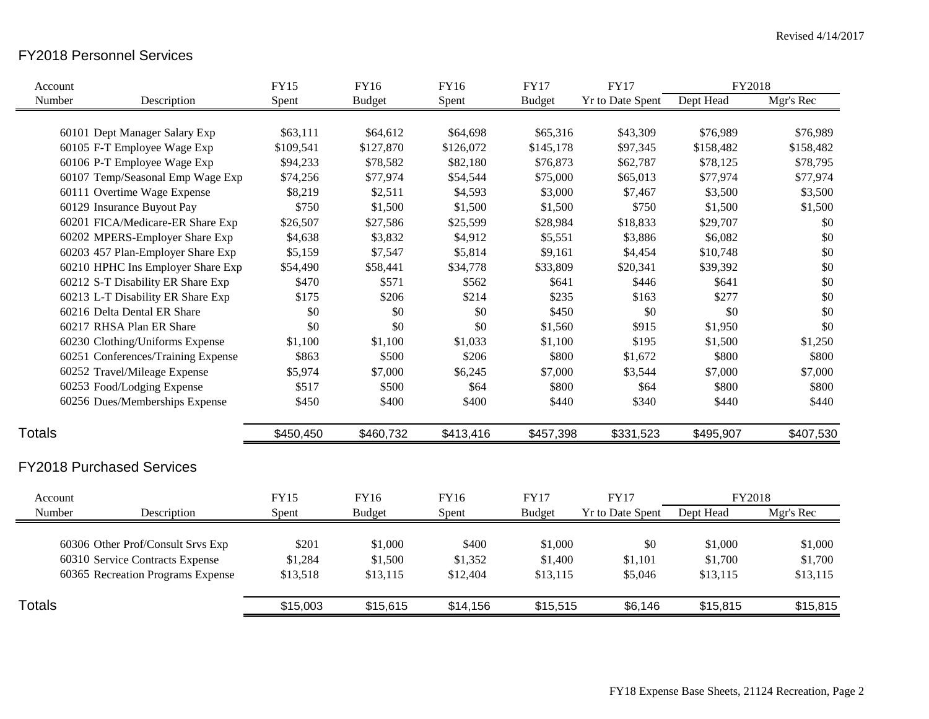### FY2018 Personnel Services

| Account                            | FY15        | <b>FY16</b>   | <b>FY16</b> | <b>FY17</b>   | <b>FY17</b>             | FY2018    |           |
|------------------------------------|-------------|---------------|-------------|---------------|-------------------------|-----------|-----------|
| Number<br>Description              | Spent       | <b>Budget</b> | Spent       | <b>Budget</b> | <b>Yr to Date Spent</b> | Dept Head | Mgr's Rec |
|                                    |             |               |             |               |                         |           |           |
| 60101 Dept Manager Salary Exp      | \$63,111    | \$64,612      | \$64,698    | \$65,316      | \$43,309                | \$76,989  | \$76,989  |
| 60105 F-T Employee Wage Exp        | \$109,541   | \$127,870     | \$126,072   | \$145,178     | \$97,345                | \$158,482 | \$158,482 |
| 60106 P-T Employee Wage Exp        | \$94,233    | \$78,582      | \$82,180    | \$76,873      | \$62,787                | \$78,125  | \$78,795  |
| 60107 Temp/Seasonal Emp Wage Exp   | \$74,256    | \$77,974      | \$54,544    | \$75,000      | \$65,013                | \$77,974  | \$77,974  |
| 60111 Overtime Wage Expense        | \$8,219     | \$2,511       | \$4,593     | \$3,000       | \$7,467                 | \$3,500   | \$3,500   |
| 60129 Insurance Buyout Pay         | \$750       | \$1,500       | \$1,500     | \$1,500       | \$750                   | \$1,500   | \$1,500   |
| 60201 FICA/Medicare-ER Share Exp   | \$26,507    | \$27,586      | \$25,599    | \$28,984      | \$18,833                | \$29,707  | \$0       |
| 60202 MPERS-Employer Share Exp     | \$4,638     | \$3,832       | \$4,912     | \$5,551       | \$3,886                 | \$6,082   | \$0       |
| 60203 457 Plan-Employer Share Exp  | \$5,159     | \$7,547       | \$5,814     | \$9,161       | \$4,454                 | \$10,748  | \$0       |
| 60210 HPHC Ins Employer Share Exp  | \$54,490    | \$58,441      | \$34,778    | \$33,809      | \$20,341                | \$39,392  | \$0       |
| 60212 S-T Disability ER Share Exp  | \$470       | \$571         | \$562       | \$641         | \$446                   | \$641     | \$0       |
| 60213 L-T Disability ER Share Exp  | \$175       | \$206         | \$214       | \$235         | \$163                   | \$277     | \$0       |
| 60216 Delta Dental ER Share        | \$0         | \$0           | \$0         | \$450         | \$0                     | \$0       | \$0       |
| 60217 RHSA Plan ER Share           | \$0         | \$0           | \$0         | \$1,560       | \$915                   | \$1,950   | \$0       |
| 60230 Clothing/Uniforms Expense    | \$1,100     | \$1,100       | \$1,033     | \$1,100       | \$195                   | \$1,500   | \$1,250   |
| 60251 Conferences/Training Expense | \$863       | \$500         | \$206       | \$800         | \$1,672                 | \$800     | \$800     |
| 60252 Travel/Mileage Expense       | \$5,974     | \$7,000       | \$6,245     | \$7,000       | \$3,544                 | \$7,000   | \$7,000   |
| 60253 Food/Lodging Expense         | \$517       | \$500         | \$64        | \$800         | \$64                    | \$800     | \$800     |
| 60256 Dues/Memberships Expense     | \$450       | \$400         | \$400       | \$440         | \$340                   | \$440     | \$440     |
|                                    |             |               |             |               |                         |           |           |
| <b>Totals</b>                      | \$450,450   | \$460,732     | \$413,416   | \$457,398     | \$331,523               | \$495,907 | \$407,530 |
| <b>FY2018 Purchased Services</b>   |             |               |             |               |                         |           |           |
|                                    |             |               |             |               |                         |           |           |
| Account                            | <b>FY15</b> | <b>FY16</b>   | FY16        | <b>FY17</b>   | <b>FY17</b>             | FY2018    |           |
| Number<br>Description              | Spent       | <b>Budget</b> | Spent       | <b>Budget</b> | <b>Yr to Date Spent</b> | Dept Head | Mgr's Rec |
| 60306 Other Prof/Consult Srvs Exp  | \$201       | \$1,000       | \$400       | \$1,000       | \$0                     | \$1,000   | \$1,000   |
| 60310 Service Contracts Expense    | \$1,284     | \$1,500       | \$1,352     | \$1,400       | \$1,101                 | \$1,700   | \$1,700   |
| 60365 Recreation Programs Expense  | \$13,518    | \$13,115      | \$12,404    | \$13,115      | \$5,046                 | \$13,115  | \$13,115  |
|                                    |             |               |             |               |                         |           |           |
| <b>Totals</b>                      | \$15,003    | \$15,615      | \$14,156    | \$15,515      | \$6,146                 | \$15,815  | \$15,815  |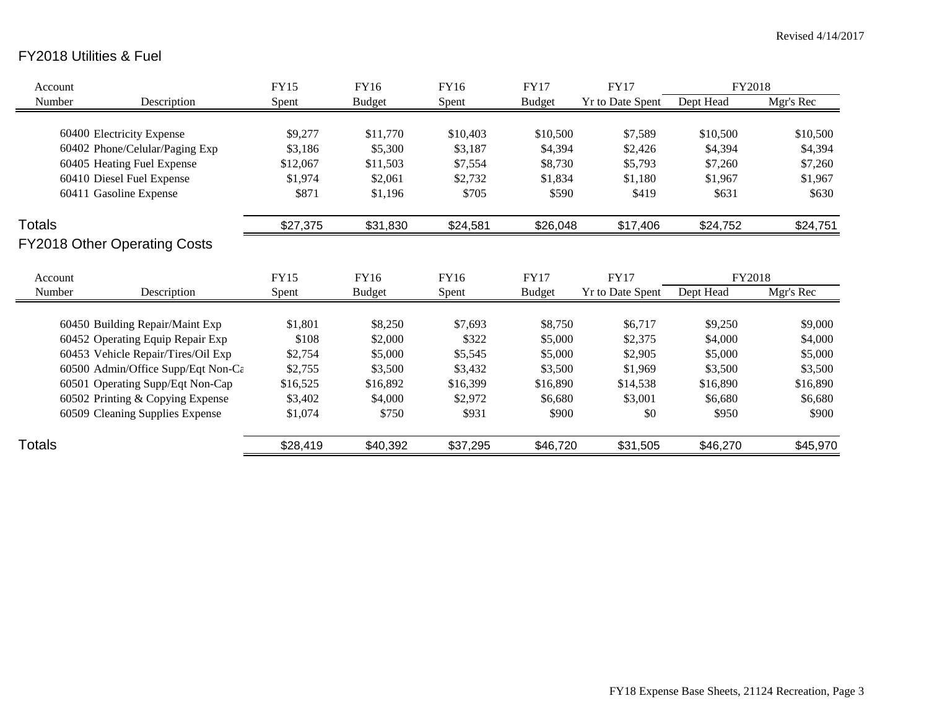## FY2018 Utilities & Fuel

| Account |                                     | FY15     | FY16          | FY16     | FY17          | <b>FY17</b>             | FY2018    |           |
|---------|-------------------------------------|----------|---------------|----------|---------------|-------------------------|-----------|-----------|
| Number  | Description                         | Spent    | <b>Budget</b> | Spent    | <b>Budget</b> | Yr to Date Spent        | Dept Head | Mgr's Rec |
|         |                                     |          |               |          |               |                         |           |           |
|         | 60400 Electricity Expense           | \$9,277  | \$11,770      | \$10,403 | \$10,500      | \$7,589                 | \$10,500  | \$10,500  |
|         | 60402 Phone/Celular/Paging Exp      | \$3,186  | \$5,300       | \$3,187  | \$4,394       | \$2,426                 | \$4,394   | \$4,394   |
|         | 60405 Heating Fuel Expense          | \$12,067 | \$11,503      | \$7,554  | \$8,730       | \$5,793                 | \$7,260   | \$7,260   |
|         | 60410 Diesel Fuel Expense           | \$1,974  | \$2,061       | \$2,732  | \$1,834       | \$1,180                 | \$1,967   | \$1,967   |
|         | 60411 Gasoline Expense              | \$871    | \$1,196       | \$705    | \$590         | \$419                   | \$631     | \$630     |
| Totals  |                                     | \$27,375 | \$31,830      | \$24,581 | \$26,048      | \$17,406                | \$24,752  | \$24,751  |
|         | <b>FY2018 Other Operating Costs</b> |          |               |          |               |                         |           |           |
| Account |                                     | FY15     | FY16          | FY16     | <b>FY17</b>   | <b>FY17</b>             | FY2018    |           |
| Number  | Description                         | Spent    | <b>Budget</b> | Spent    | <b>Budget</b> | <b>Yr to Date Spent</b> | Dept Head | Mgr's Rec |
|         |                                     |          |               |          |               |                         |           |           |
|         | 60450 Building Repair/Maint Exp     | \$1,801  | \$8,250       | \$7,693  | \$8,750       | \$6,717                 | \$9,250   | \$9,000   |
|         | 60452 Operating Equip Repair Exp    | \$108    | \$2,000       | \$322    | \$5,000       | \$2,375                 | \$4,000   | \$4,000   |
|         | 60453 Vehicle Repair/Tires/Oil Exp  | \$2,754  | \$5,000       | \$5,545  | \$5,000       | \$2,905                 | \$5,000   | \$5,000   |
|         | 60500 Admin/Office Supp/Eqt Non-Ca  | \$2,755  | \$3,500       | \$3,432  | \$3,500       | \$1,969                 | \$3,500   | \$3,500   |
|         | 60501 Operating Supp/Eqt Non-Cap    | \$16,525 | \$16,892      | \$16,399 | \$16,890      | \$14,538                | \$16,890  | \$16,890  |
|         | 60502 Printing & Copying Expense    | \$3,402  | \$4,000       | \$2,972  | \$6,680       | \$3,001                 | \$6,680   | \$6,680   |
|         | 60509 Cleaning Supplies Expense     | \$1,074  | \$750         | \$931    | \$900         | \$0                     | \$950     | \$900     |
| Totals  |                                     | \$28,419 | \$40,392      | \$37,295 | \$46,720      | \$31,505                | \$46,270  | \$45,970  |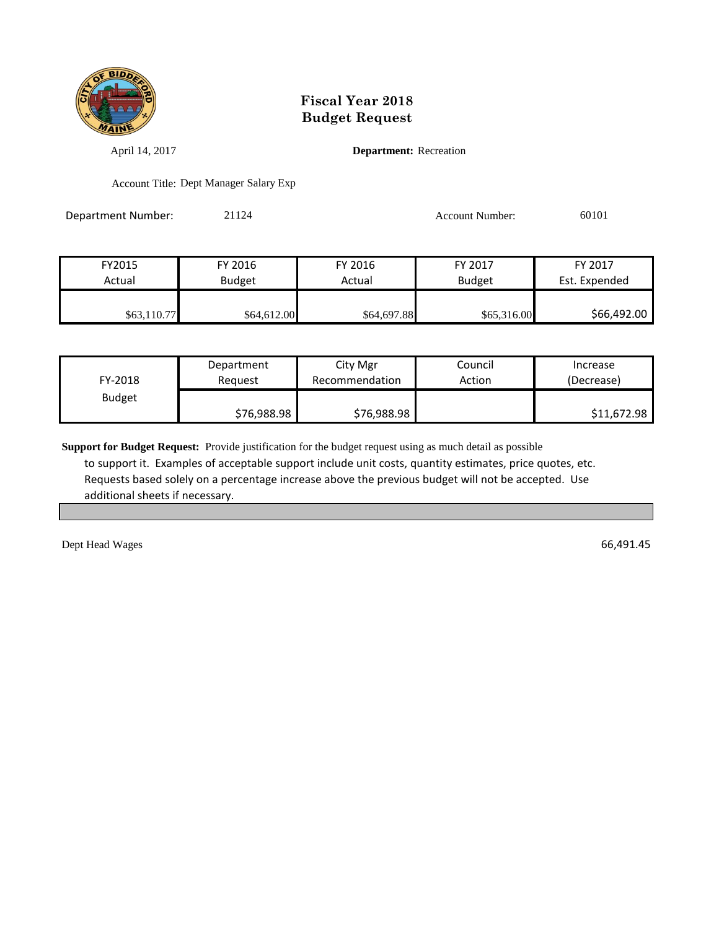

April 14, 2017 **Department:** Recreation

Account Title: Dept Manager Salary Exp

Department Number: 21124 21124 Account Number: 60101

| FY2015      | FY 2016       | FY 2016     | FY 2017       | FY 2017       |
|-------------|---------------|-------------|---------------|---------------|
| Actual      | <b>Budget</b> | Actual      | <b>Budget</b> | Est. Expended |
|             |               |             |               |               |
| \$63,110.77 | \$64,612.00   | \$64,697.88 | \$65,316.00   | \$66,492.00   |

| Department<br>FY-2018<br>Reauest |             | City Mgr<br>Recommendation | Council<br>Action | Increase<br>(Decrease) |
|----------------------------------|-------------|----------------------------|-------------------|------------------------|
| <b>Budget</b>                    | \$76,988.98 | \$76,988.98                |                   | \$11,672.98            |

**Support for Budget Request:** Provide justification for the budget request using as much detail as possible to support it. Examples of acceptable support include unit costs, quantity estimates, price quotes, etc. Requests based solely on a percentage increase above the previous budget will not be accepted. Use additional sheets if necessary.

Dept Head Wages 66,491.45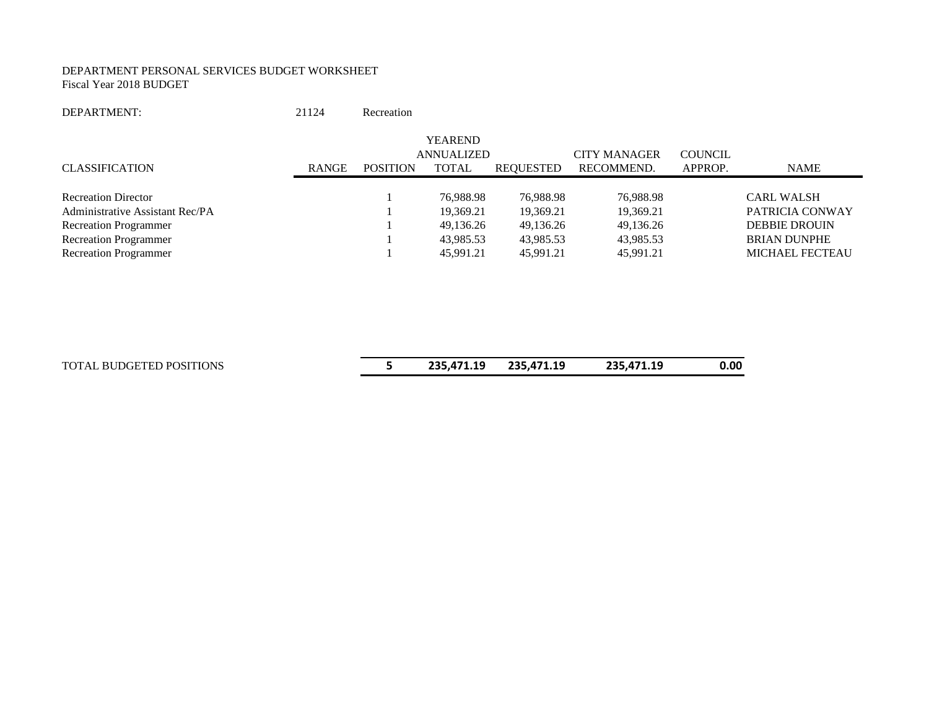#### DEPARTMENT PERSONAL SERVICES BUDGET WORKSHEET Fiscal Year 2018 BUDGET

| DEPARTMENT: | 21124 | Recreation |
|-------------|-------|------------|
|             |       |            |

|                                 |              |                 | <b>YEAREND</b> |                  |                     |                |                        |
|---------------------------------|--------------|-----------------|----------------|------------------|---------------------|----------------|------------------------|
|                                 |              |                 | ANNUALIZED     |                  | <b>CITY MANAGER</b> | <b>COUNCIL</b> |                        |
| <b>CLASSIFICATION</b>           | <b>RANGE</b> | <b>POSITION</b> | <b>TOTAL</b>   | <b>REQUESTED</b> | RECOMMEND.          | APPROP.        | NAME                   |
|                                 |              |                 |                |                  |                     |                |                        |
| <b>Recreation Director</b>      |              |                 | 76,988.98      | 76.988.98        | 76,988.98           |                | <b>CARL WALSH</b>      |
| Administrative Assistant Rec/PA |              |                 | 19,369.21      | 19.369.21        | 19,369.21           |                | PATRICIA CONWAY        |
| <b>Recreation Programmer</b>    |              |                 | 49,136.26      | 49,136.26        | 49,136.26           |                | <b>DEBBIE DROUIN</b>   |
| <b>Recreation Programmer</b>    |              |                 | 43,985.53      | 43.985.53        | 43,985.53           |                | <b>BRIAN DUNPHE</b>    |
| <b>Recreation Programmer</b>    |              |                 | 45.991.21      | 45,991.21        | 45,991.21           |                | <b>MICHAEL FECTEAU</b> |

| TOTAL BUDGETED POSITIONS | 235,471.19 | 235,471.19 | 235,471.19 | 0.00 |
|--------------------------|------------|------------|------------|------|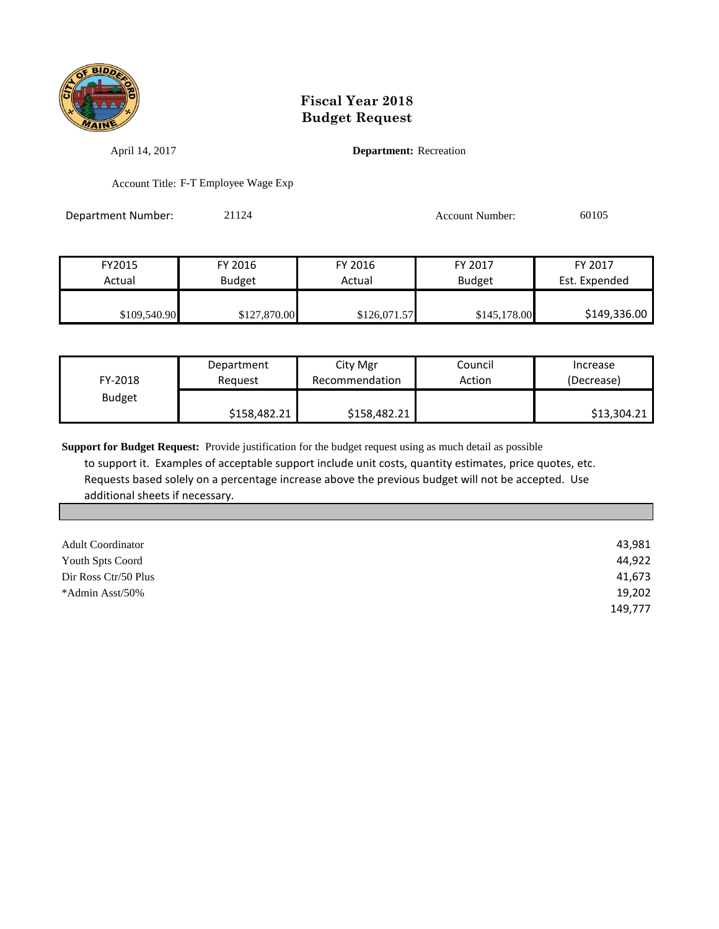

April 14, 2017 **Department:** Recreation

Account Title: F-T Employee Wage Exp

Department Number: 21124 21124 Account Number: 60105

| FY2015       | FY 2016       | FY 2016      | FY 2017       | FY 2017       |
|--------------|---------------|--------------|---------------|---------------|
| Actual       | <b>Budget</b> | Actual       | <b>Budget</b> | Est. Expended |
| \$109,540.90 | \$127,870.00  | \$126,071.57 | \$145,178.00  | \$149,336.00  |

| FY-2018       | Department   |              | Council | Increase    |
|---------------|--------------|--------------|---------|-------------|
|               | Reauest      |              | Action  | (Decrease)  |
| <b>Budget</b> | \$158,482.21 | \$158,482.21 |         | \$13,304.21 |

| <b>Adult Coordinator</b> | 43,981  |
|--------------------------|---------|
| Youth Spts Coord         | 44,922  |
| Dir Ross Ctr/50 Plus     | 41,673  |
| *Admin Asst/50%          | 19,202  |
|                          | 149,777 |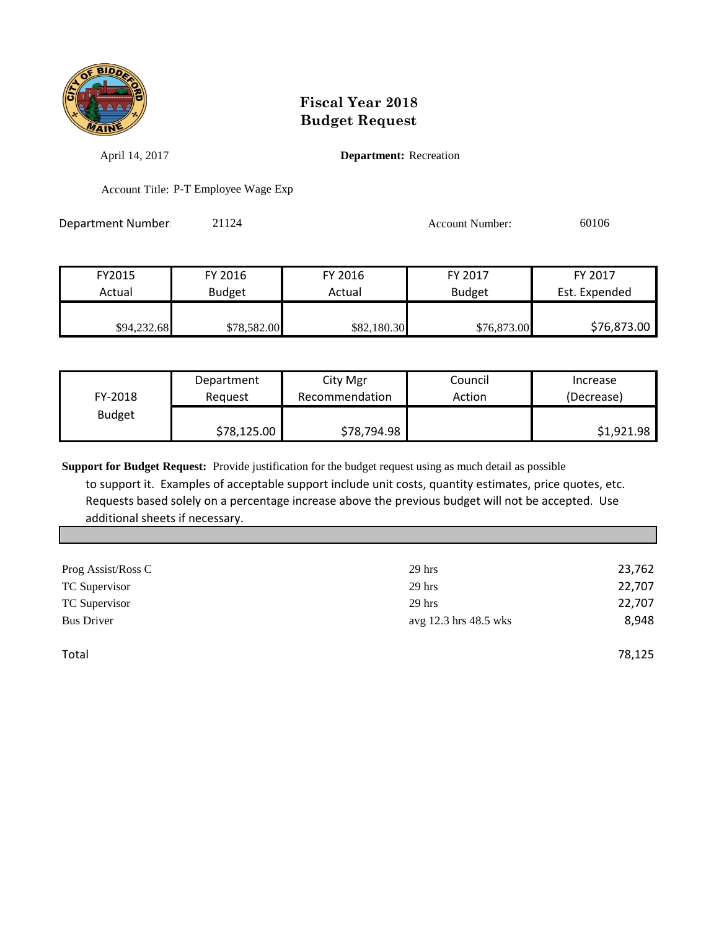

April 14, 2017 **Department:** Recreation

Account Title: P-T Employee Wage Exp

Department Number: 21124 21124 Account Number: 60106

| FY2015      | FY 2016       | FY 2016     | FY 2017       | FY 2017       |
|-------------|---------------|-------------|---------------|---------------|
| Actual      | <b>Budget</b> | Actual      | <b>Budget</b> | Est. Expended |
| \$94,232.68 | \$78,582.00   | \$82,180.30 | \$76,873.00   | \$76,873.00   |

|               | Department  | City Mgr       | Council | Increase   |
|---------------|-------------|----------------|---------|------------|
| FY-2018       | Reguest     | Recommendation | Action  | (Decrease) |
| <b>Budget</b> |             |                |         |            |
|               | \$78,125.00 | \$78,794.98    |         | \$1,921.98 |

**Support for Budget Request:** Provide justification for the budget request using as much detail as possible

 to support it. Examples of acceptable support include unit costs, quantity estimates, price quotes, etc. Requests based solely on a percentage increase above the previous budget will not be accepted. Use additional sheets if necessary.

| $29$ hrs              | 23,762 |
|-----------------------|--------|
| $29$ hrs              | 22,707 |
| $29$ hrs              | 22,707 |
| avg 12.3 hrs 48.5 wks | 8.948  |
|                       |        |
|                       |        |

Total 78,125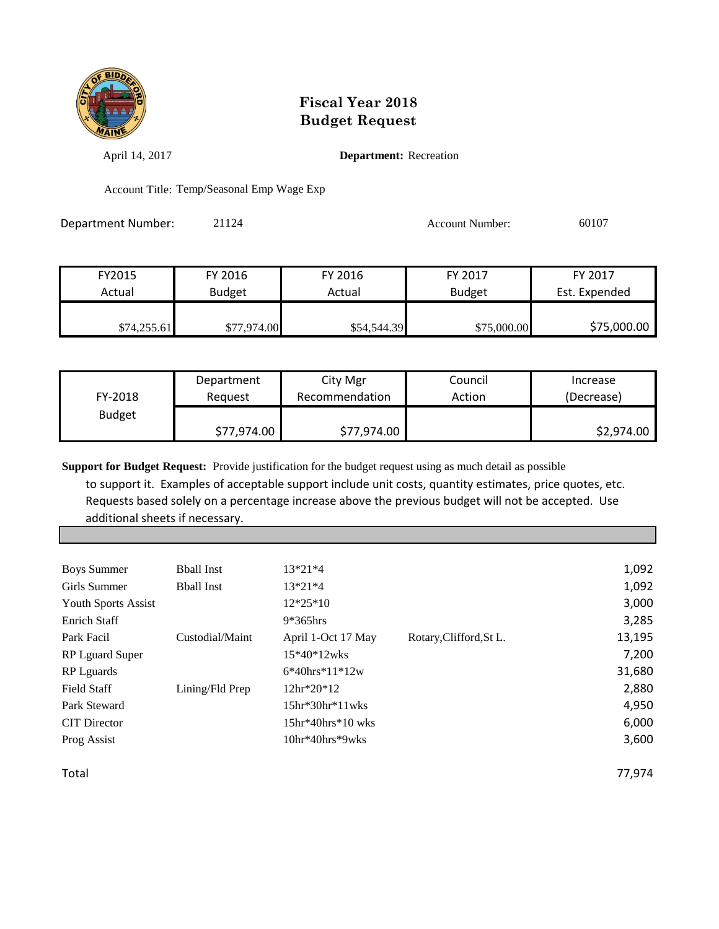

April 14, 2017 **Department:** Recreation

Account Title: Temp/Seasonal Emp Wage Exp

Department Number: 21124 21124 Account Number: 60107

| FY2015      | FY 2016       | FY 2016     | FY 2017       | FY 2017       |
|-------------|---------------|-------------|---------------|---------------|
| Actual      | <b>Budget</b> | Actual      | <b>Budget</b> | Est. Expended |
|             |               |             |               |               |
| \$74,255.61 | \$77,974.00   | \$54,544.39 | \$75,000.00   | \$75,000.00   |

|               | Department  | City Mgr       | Council | Increase   |
|---------------|-------------|----------------|---------|------------|
| FY-2018       | Reguest     | Recommendation | Action  | (Decrease) |
| <b>Budget</b> |             |                |         |            |
|               | \$77,974.00 | \$77,974.00    |         | \$2,974.00 |

**Support for Budget Request:** Provide justification for the budget request using as much detail as possible

 to support it. Examples of acceptable support include unit costs, quantity estimates, price quotes, etc. Requests based solely on a percentage increase above the previous budget will not be accepted. Use additional sheets if necessary.

| <b>Boys Summer</b>         | <b>B</b> ball Inst | $13*21*4$            |                         | 1,092  |
|----------------------------|--------------------|----------------------|-------------------------|--------|
| Girls Summer               | <b>Bhall Inst</b>  | $13*21*4$            |                         | 1,092  |
| <b>Youth Sports Assist</b> |                    | $12*25*10$           |                         | 3,000  |
| Enrich Staff               |                    | $9*365$ hrs          |                         | 3,285  |
| Park Facil                 | Custodial/Maint    | April 1-Oct 17 May   | Rotary, Clifford, St L. | 13,195 |
| RP Lguard Super            |                    | $15*40*12wks$        |                         | 7,200  |
| <b>RP</b> Lguards          |                    | $6*40$ hrs $*11*12w$ |                         | 31,680 |
| <b>Field Staff</b>         | Lining/Fld Prep    | 12hr*20*12           |                         | 2,880  |
| Park Steward               |                    | $15hr*30hr*11wks$    |                         | 4,950  |
| <b>CIT</b> Director        |                    | $15hr*40hrs*10 wks$  |                         | 6,000  |
| Prog Assist                |                    | $10hr*40hrs*9wks$    |                         | 3,600  |
|                            |                    |                      |                         |        |

Total 77,974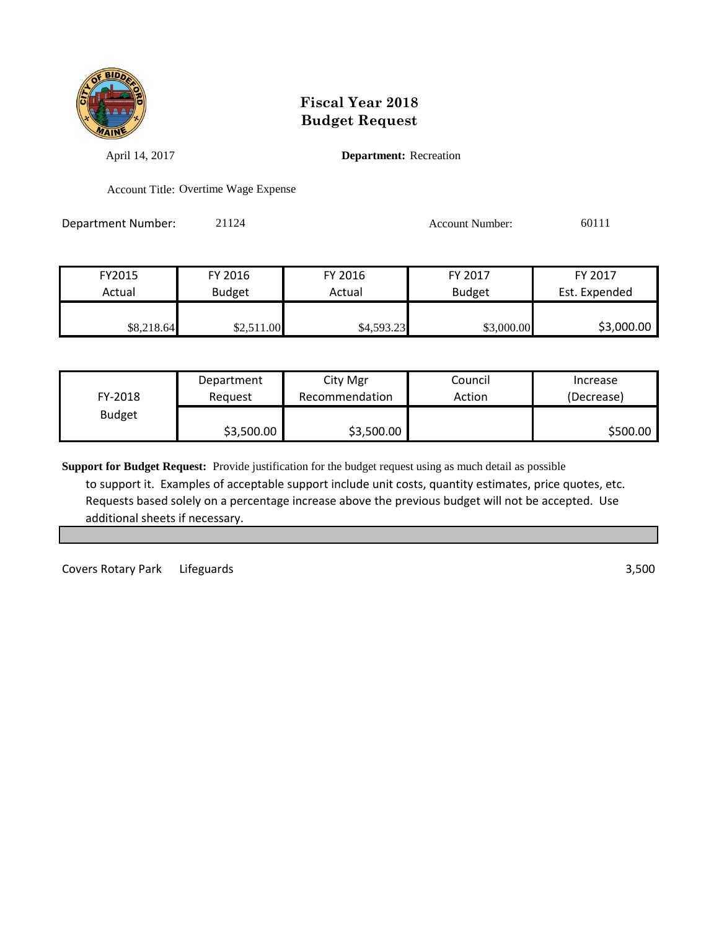

April 14, 2017 **Department:** Recreation

Account Title: Overtime Wage Expense

| <b>Department Number:</b> | 21124 | <b>Account Number:</b> | 60111 |
|---------------------------|-------|------------------------|-------|
|                           |       |                        |       |

| FY2015     | FY 2016       | FY 2016    | FY 2017       | FY 2017       |
|------------|---------------|------------|---------------|---------------|
| Actual     | <b>Budget</b> | Actual     | <b>Budget</b> | Est. Expended |
| \$8,218.64 | \$2,511.00    | \$4,593.23 | \$3,000.00    | \$3,000.00    |

|               | Department | City Mgr       | Council | Increase   |
|---------------|------------|----------------|---------|------------|
| FY-2018       | Reauest    | Recommendation | Action  | (Decrease) |
| <b>Budget</b> |            |                |         |            |
|               | \$3,500.00 | \$3,500.00     |         | \$500.00   |

**Support for Budget Request:** Provide justification for the budget request using as much detail as possible to support it. Examples of acceptable support include unit costs, quantity estimates, price quotes, etc. Requests based solely on a percentage increase above the previous budget will not be accepted. Use additional sheets if necessary.

Covers Rotary Park Lifeguards 3,500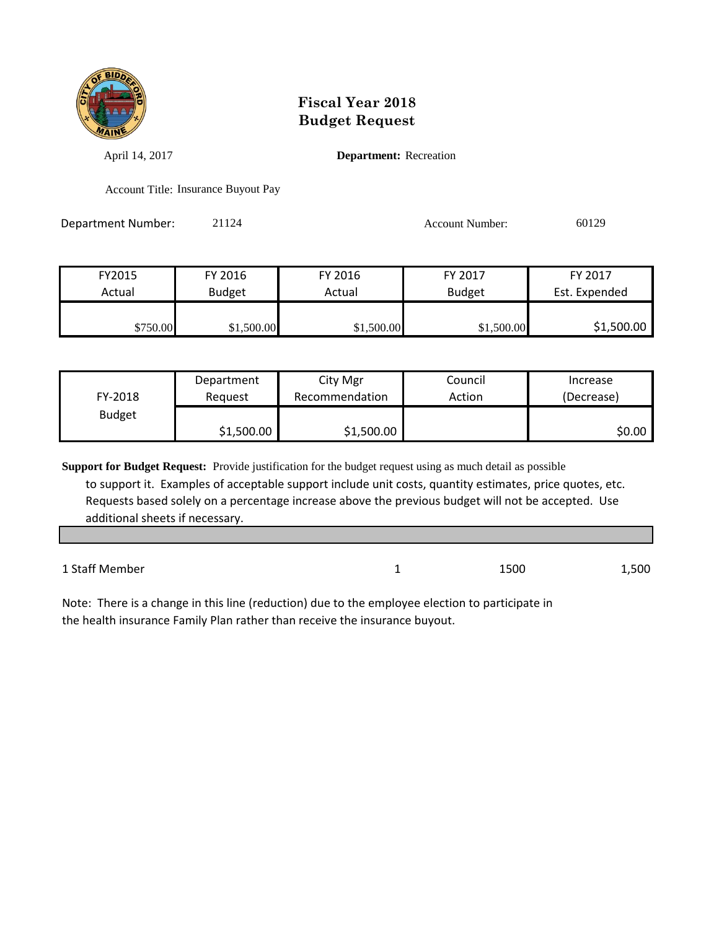

April 14, 2017 **Department:** Recreation

Account Title: Insurance Buyout Pay

| Department Number: | 21124 | <b>Account Number:</b> | 60129 |
|--------------------|-------|------------------------|-------|
|                    |       |                        |       |

| FY2015   | FY 2016       | FY 2016    | FY 2017       | FY 2017       |
|----------|---------------|------------|---------------|---------------|
| Actual   | <b>Budget</b> | Actual     | <b>Budget</b> | Est. Expended |
| \$750.00 | \$1,500.00    | \$1,500.00 | \$1,500.00    | \$1,500.00    |

|               | Department | City Mgr       | Council | Increase   |
|---------------|------------|----------------|---------|------------|
| FY-2018       | Reauest    | Recommendation | Action  | (Decrease) |
| <b>Budget</b> |            |                |         |            |
|               | \$1,500.00 | \$1,500.00     |         | \$0.00     |

**Support for Budget Request:** Provide justification for the budget request using as much detail as possible to support it. Examples of acceptable support include unit costs, quantity estimates, price quotes, etc. Requests based solely on a percentage increase above the previous budget will not be accepted. Use additional sheets if necessary.

1 Staff Member 1 1500 1,500

Note: There is a change in this line (reduction) due to the employee election to participate in the health insurance Family Plan rather than receive the insurance buyout.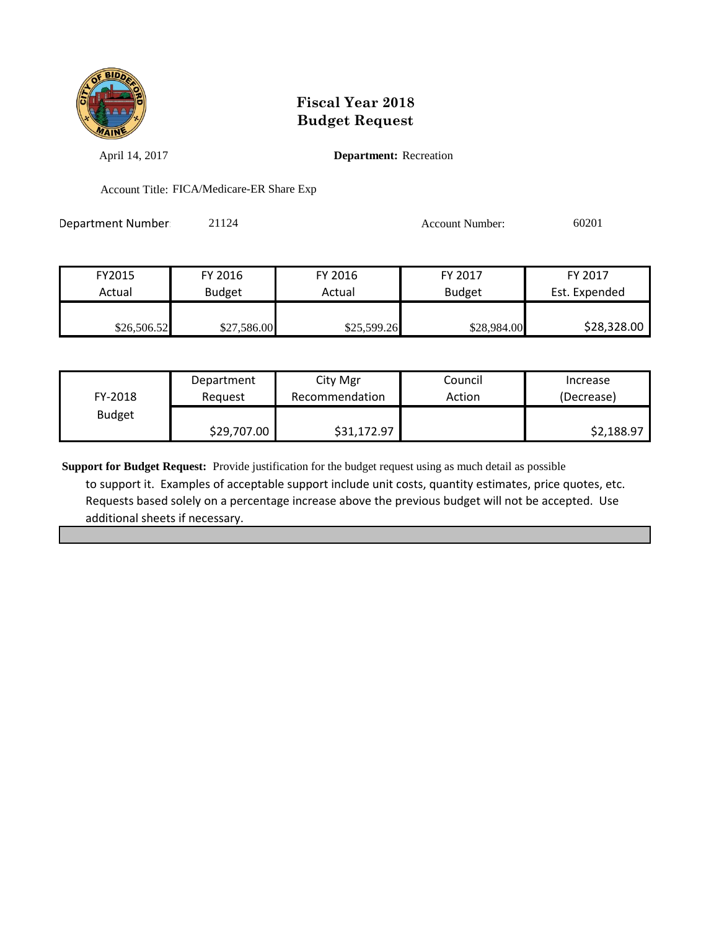

April 14, 2017 **Department:** Recreation

Account Title: FICA/Medicare-ER Share Exp

Department Number: 21124 Account Number: 60201

| FY2015      | FY 2016       | FY 2016     | FY 2017       | FY 2017       |
|-------------|---------------|-------------|---------------|---------------|
| Actual      | <b>Budget</b> | Actual      | <b>Budget</b> | Est. Expended |
|             |               |             |               |               |
| \$26,506.52 | \$27,586.00   | \$25,599.26 | \$28,984.00   | \$28,328.00   |

|               | Department  | City Mgr       | Council | Increase   |
|---------------|-------------|----------------|---------|------------|
| FY-2018       | Reauest     | Recommendation | Action  | (Decrease) |
| <b>Budget</b> |             |                |         |            |
|               | \$29,707.00 | \$31,172.97    |         | \$2,188.97 |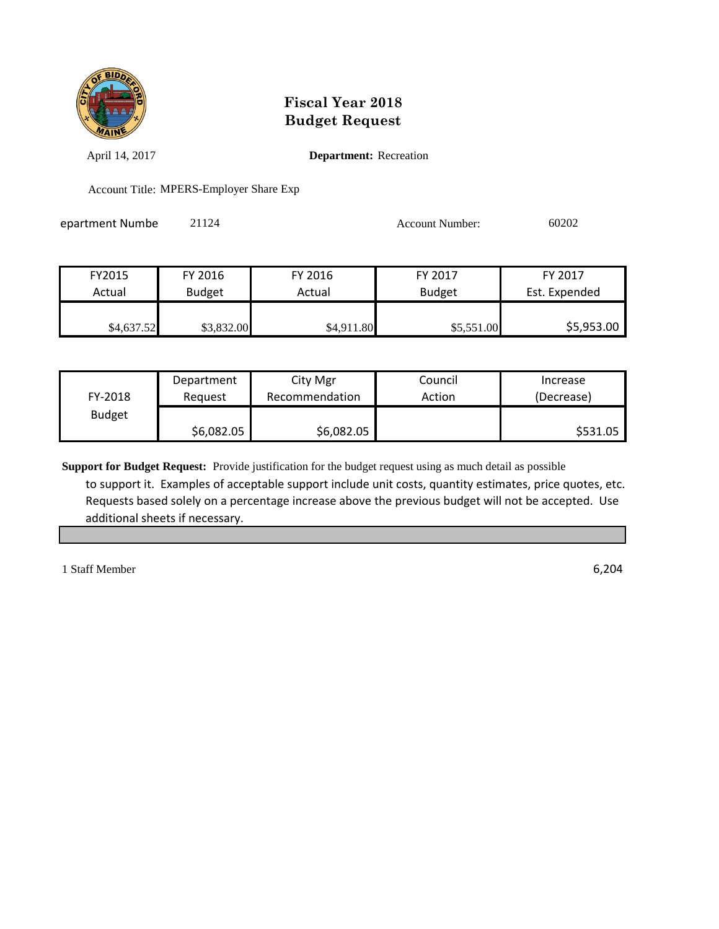

April 14, 2017 **Department:** Recreation

Account Title: MPERS-Employer Share Exp

epartment Numbe 21124 21124 Account Number: 60202

| FY2015     | FY 2016       | FY 2016    | FY 2017       | FY 2017       |
|------------|---------------|------------|---------------|---------------|
| Actual     | <b>Budget</b> | Actual     | <b>Budget</b> | Est. Expended |
|            |               |            |               |               |
| \$4,637.52 | \$3,832.00    | \$4,911.80 | \$5,551.00    | \$5,953.00    |

|               | Department | City Mgr       | Council | Increase   |
|---------------|------------|----------------|---------|------------|
| FY-2018       | Reguest    | Recommendation | Action  | (Decrease) |
| <b>Budget</b> |            |                |         |            |
|               | \$6,082.05 | \$6,082.05     |         | \$531.05   |

**Support for Budget Request:** Provide justification for the budget request using as much detail as possible to support it. Examples of acceptable support include unit costs, quantity estimates, price quotes, etc. Requests based solely on a percentage increase above the previous budget will not be accepted. Use additional sheets if necessary.

1 Staff Member 6,204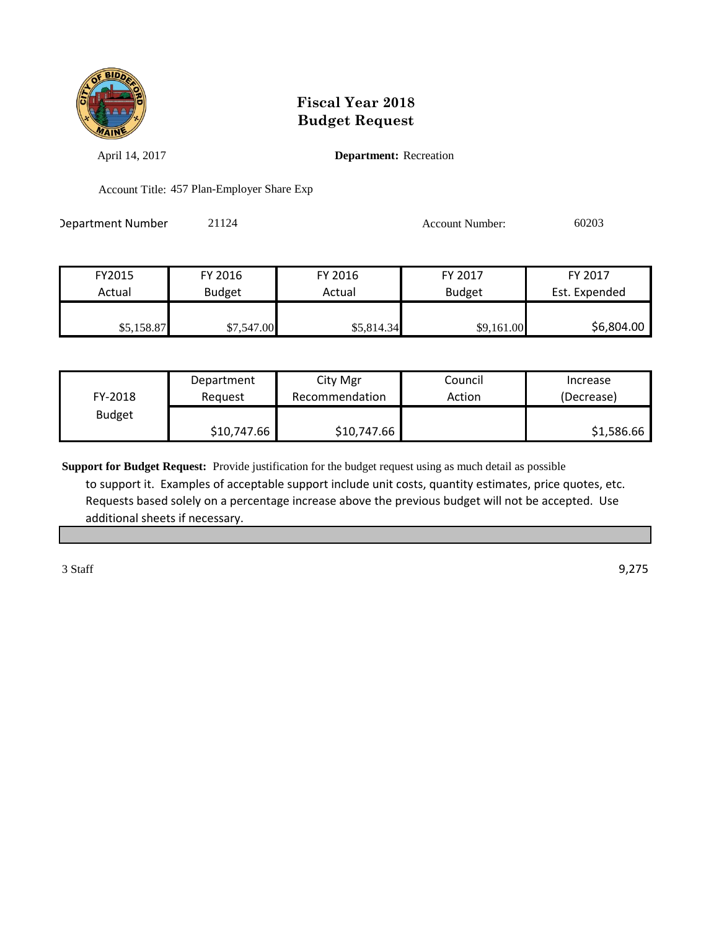

April 14, 2017 **Department:** Recreation

Account Title: 457 Plan-Employer Share Exp

Department Number: 21124 Account Number: 60203

| FY2015     | FY 2016       | FY 2016    | FY 2017    | FY 2017       |
|------------|---------------|------------|------------|---------------|
| Actual     | <b>Budget</b> | Actual     | Budget     | Est. Expended |
|            |               |            |            |               |
| \$5,158.87 | \$7,547.00    | \$5,814.34 | \$9,161.00 | \$6,804.00    |

|               | Department  | City Mgr       | Council | Increase   |
|---------------|-------------|----------------|---------|------------|
| FY-2018       | Reauest     | Recommendation | Action  | (Decrease) |
| <b>Budget</b> |             |                |         |            |
|               | \$10,747.66 | \$10,747.66    |         | \$1,586.66 |

**Support for Budget Request:** Provide justification for the budget request using as much detail as possible to support it. Examples of acceptable support include unit costs, quantity estimates, price quotes, etc. Requests based solely on a percentage increase above the previous budget will not be accepted. Use additional sheets if necessary.

3 Staff 9,275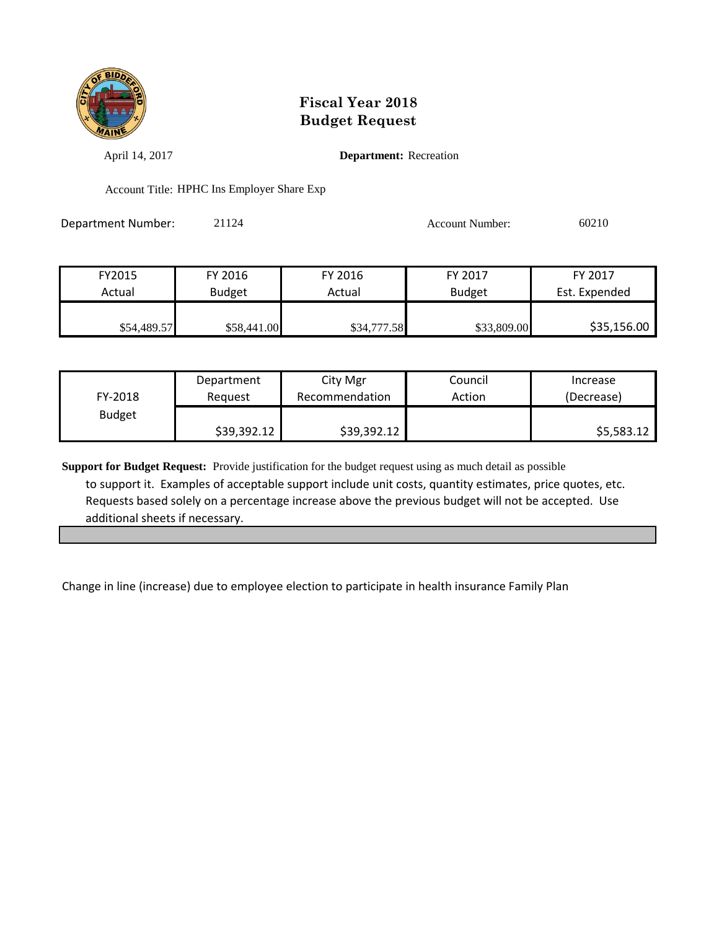

April 14, 2017 **Department:** Recreation

Account Title: HPHC Ins Employer Share Exp

Department Number: 21124 2009 2009 2010

| FY2015      | FY 2016       | FY 2016     | FY 2017       | FY 2017       |
|-------------|---------------|-------------|---------------|---------------|
| Actual      | <b>Budget</b> | Actual      | <b>Budget</b> | Est. Expended |
|             |               |             |               |               |
| \$54,489.57 | \$58,441.00   | \$34,777.58 | \$33,809.00   | \$35,156.00   |

|               | Department  | City Mgr       | Council | Increase   |
|---------------|-------------|----------------|---------|------------|
| FY-2018       | Reauest     | Recommendation | Action  | (Decrease) |
| <b>Budget</b> |             |                |         |            |
|               | \$39,392.12 | \$39,392.12    |         | \$5,583.12 |

**Support for Budget Request:** Provide justification for the budget request using as much detail as possible to support it. Examples of acceptable support include unit costs, quantity estimates, price quotes, etc. Requests based solely on a percentage increase above the previous budget will not be accepted. Use additional sheets if necessary.

Change in line (increase) due to employee election to participate in health insurance Family Plan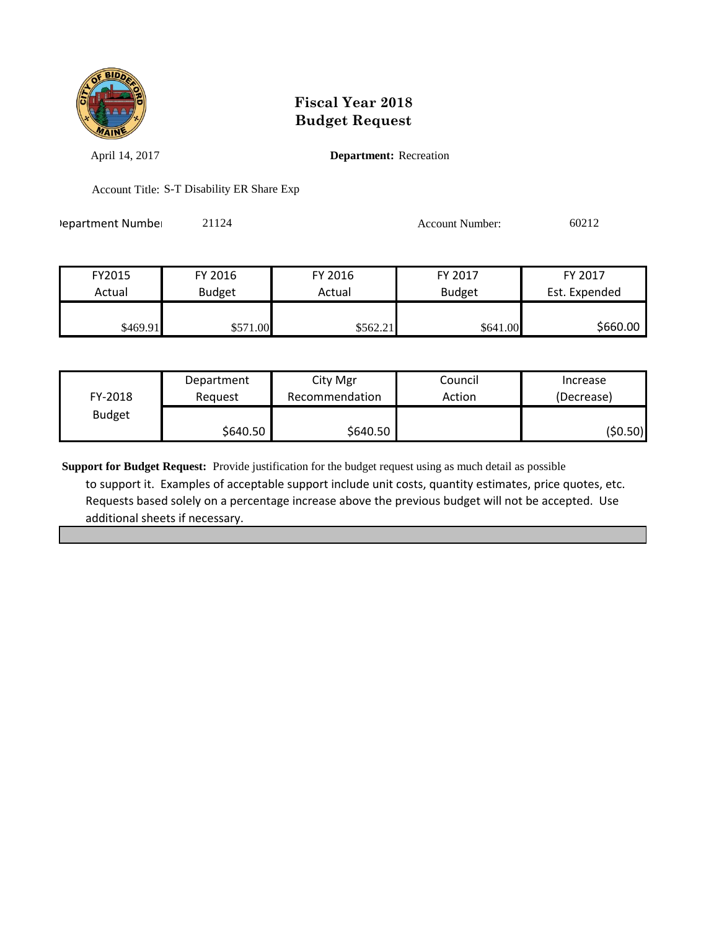

April 14, 2017 **Department:** Recreation

Account Title: S-T Disability ER Share Exp

Pepartment Number: 21124 21124 Account Number: 60212

| FY2015   | FY 2016       | FY 2016  | FY 2017       | FY 2017       |
|----------|---------------|----------|---------------|---------------|
| Actual   | <b>Budget</b> | Actual   | <b>Budget</b> | Est. Expended |
|          |               |          |               |               |
| \$469.91 | \$571.00      | \$562.21 | \$641.00      | \$660.00      |

|               | Department | City Mgr       | Council | Increase   |
|---------------|------------|----------------|---------|------------|
| FY-2018       | Reauest    | Recommendation | Action  | (Decrease) |
| <b>Budget</b> |            |                |         |            |
|               | \$640.50   | \$640.50       |         | (\$0.50)   |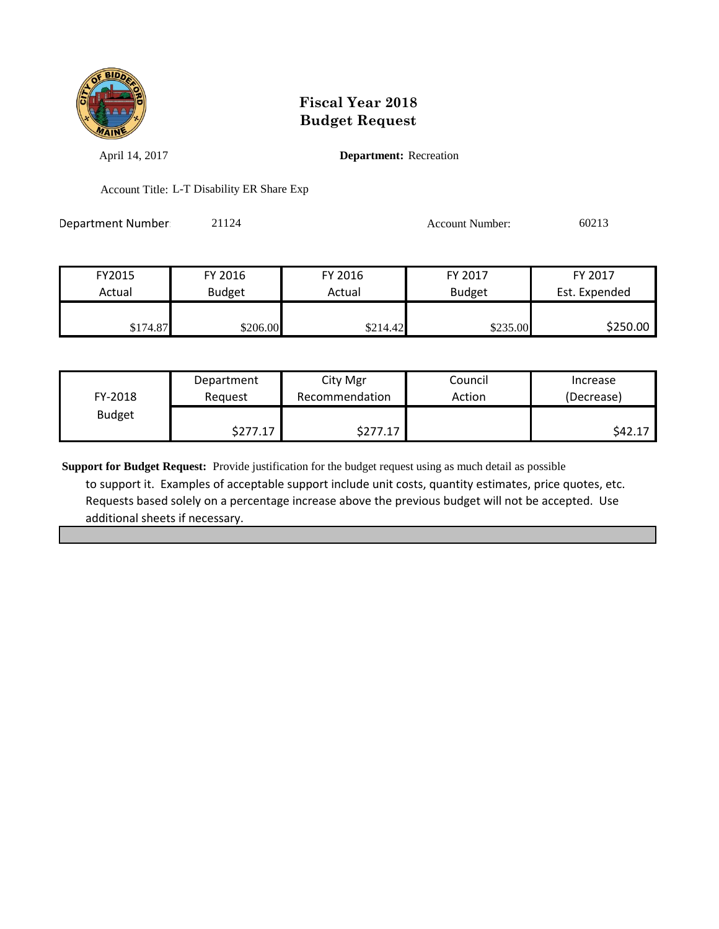

April 14, 2017 **Department:** Recreation

Account Title: L-T Disability ER Share Exp

| Department Number | 21124 | <b>Account Number:</b> | 60213 |
|-------------------|-------|------------------------|-------|
|                   |       |                        |       |

| FY2015   | FY 2016       | FY 2016  | FY 2017       | FY 2017       |
|----------|---------------|----------|---------------|---------------|
| Actual   | <b>Budget</b> | Actual   | <b>Budget</b> | Est. Expended |
| \$174.87 | \$206.00      | \$214.42 | \$235.00      | \$250.00      |

|               | Department | City Mgr       | Council | Increase   |
|---------------|------------|----------------|---------|------------|
| FY-2018       | Reguest    | Recommendation | Action  | (Decrease) |
| <b>Budget</b> |            |                |         |            |
|               | \$277.17   | 17             |         | \$42.1     |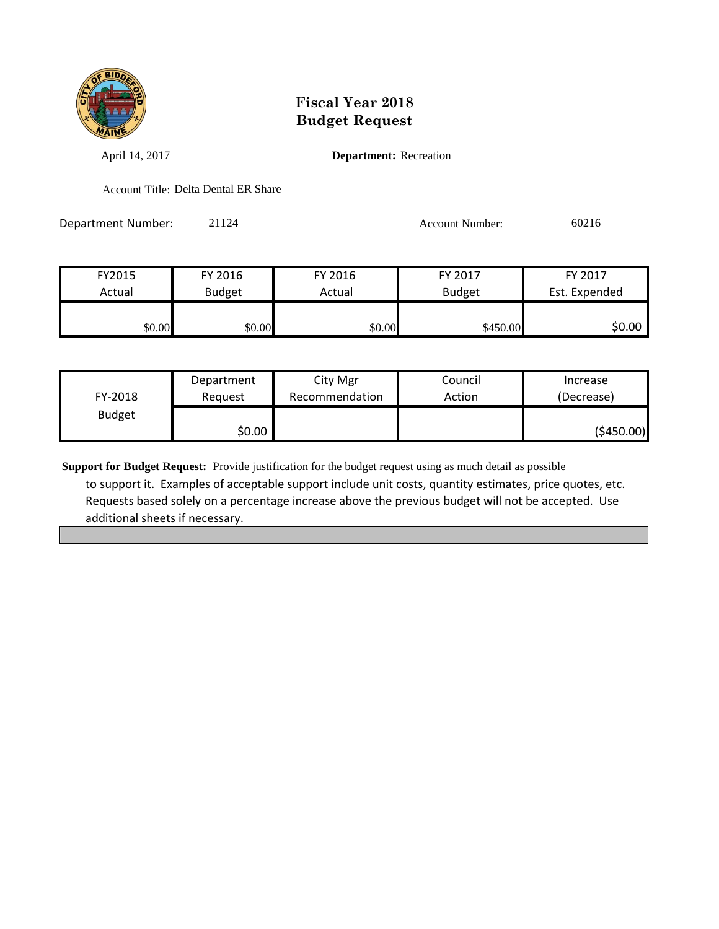

April 14, 2017 **Department:** Recreation

Account Title: Delta Dental ER Share

Department Number: 21124 21124 Account Number: 60216

| FY2015 | FY 2016       | FY 2016 | FY 2017       | FY 2017       |
|--------|---------------|---------|---------------|---------------|
| Actual | <b>Budget</b> | Actual  | <b>Budget</b> | Est. Expended |
|        |               |         |               |               |
| \$0.00 | \$0.00        | \$0.00  | \$450.00      | \$0.00        |

|               | Department | City Mgr       | Council | Increase   |
|---------------|------------|----------------|---------|------------|
| FY-2018       | Reauest    | Recommendation | Action  | (Decrease) |
| <b>Budget</b> |            |                |         |            |
|               | \$0.00     |                |         | (5450.00)  |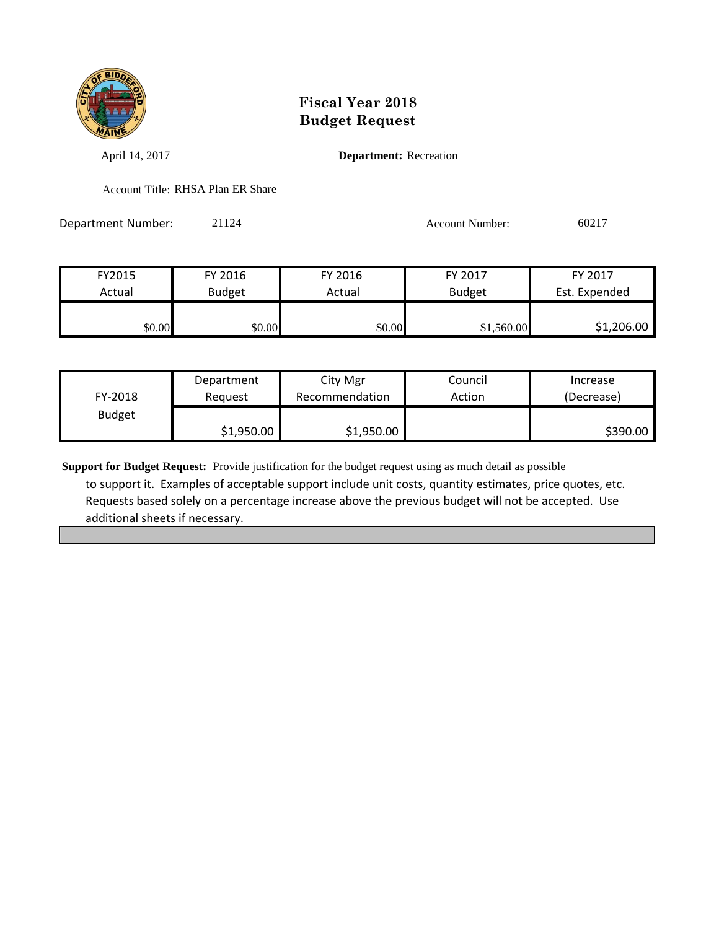

April 14, 2017 **Department:** Recreation

Account Title: RHSA Plan ER Share

Department Number: 21124 2009 2017 Account Number: 60217

FY2015 FY 2016 FY 2016 FY 2017 FY 2017 Actual Budget | Actual Budget Est. Expended

| \$0.00<br>\$0.00 | \$0.00 | ,560.00 | $\frac{1,206.00}{ }$ |
|------------------|--------|---------|----------------------|
|                  |        |         |                      |

|               | Department | City Mgr       | Council | Increase   |
|---------------|------------|----------------|---------|------------|
| FY-2018       | Reauest    | Recommendation | Action  | (Decrease) |
| <b>Budget</b> |            |                |         |            |
|               | \$1,950.00 | \$1,950.00     |         | \$390.00   |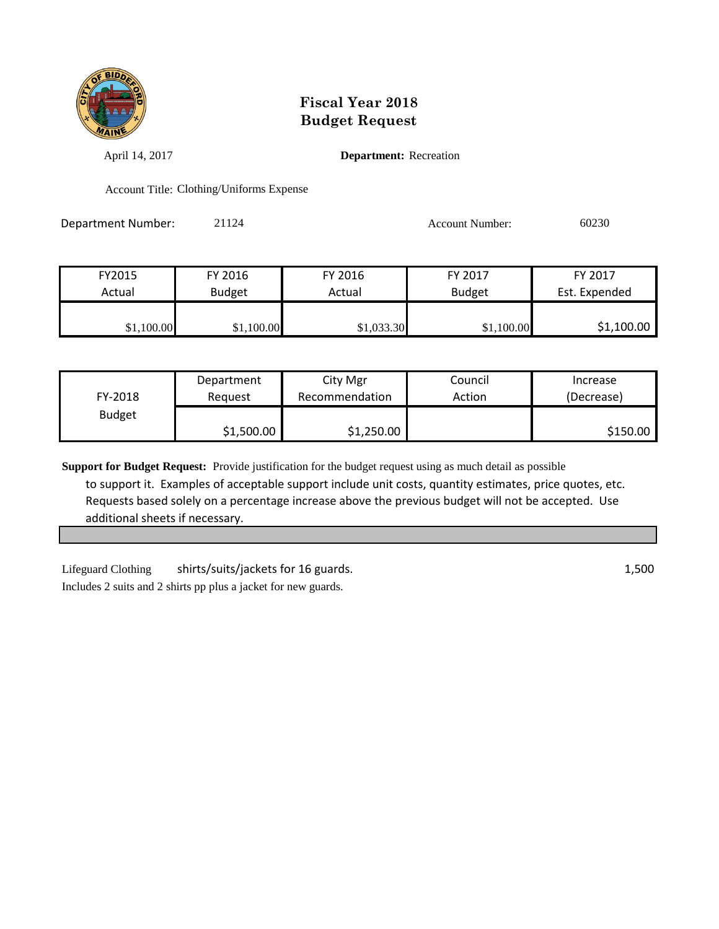

April 14, 2017 **Department:** Recreation

Account Title: Clothing/Uniforms Expense

Department Number: 21124 2002 2008 2009 Account Number: 60230

| FY2015     | FY 2016       | FY 2016    | FY 2017       | FY 2017       |
|------------|---------------|------------|---------------|---------------|
| Actual     | <b>Budget</b> | Actual     | <b>Budget</b> | Est. Expended |
| \$1,100.00 | \$1,100.00    | \$1,033.30 | \$1,100.00    | \$1,100.00    |

|               | Department | City Mgr       | Council | Increase   |
|---------------|------------|----------------|---------|------------|
| FY-2018       | Reauest    | Recommendation | Action  | (Decrease) |
| <b>Budget</b> |            |                |         |            |
|               | \$1,500.00 | \$1,250.00     |         | \$150.00   |

**Support for Budget Request:** Provide justification for the budget request using as much detail as possible to support it. Examples of acceptable support include unit costs, quantity estimates, price quotes, etc. Requests based solely on a percentage increase above the previous budget will not be accepted. Use additional sheets if necessary.

Lifeguard Clothing shirts/suits/jackets for 16 guards. 1,500 Includes 2 suits and 2 shirts pp plus a jacket for new guards.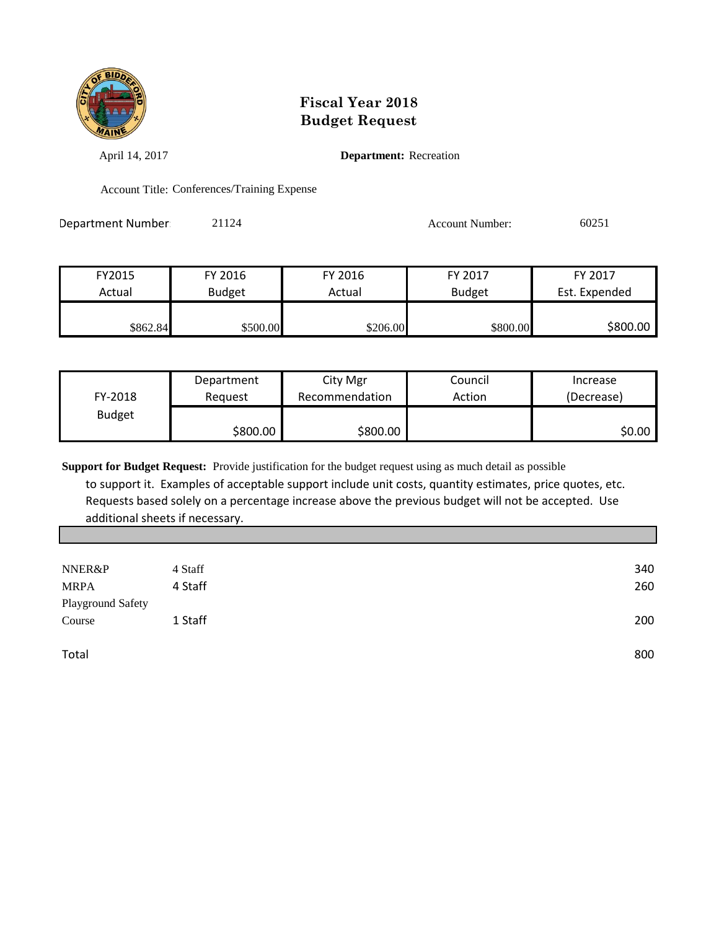

April 14, 2017 **Department:** Recreation

Account Title: Conferences/Training Expense

Department Number 21124 2009 2012 2012 Account Number: 60251

| FY2015   | FY 2016       | FY 2016  | FY 2017       | FY 2017       |
|----------|---------------|----------|---------------|---------------|
| Actual   | <b>Budget</b> | Actual   | <b>Budget</b> | Est. Expended |
| \$862.84 | \$500.00      | \$206.00 | \$800.00      | \$800.00      |

|               | Department | City Mgr       | Council | Increase   |
|---------------|------------|----------------|---------|------------|
| FY-2018       | Reguest    | Recommendation | Action  | (Decrease) |
| <b>Budget</b> |            |                |         |            |
|               | \$800.00   | \$800.00∣      |         | \$0.00     |

| 4 Staff |                   |
|---------|-------------------|
| 4 Staff |                   |
|         |                   |
| 1 Staff |                   |
|         |                   |
|         |                   |
|         | Playground Safety |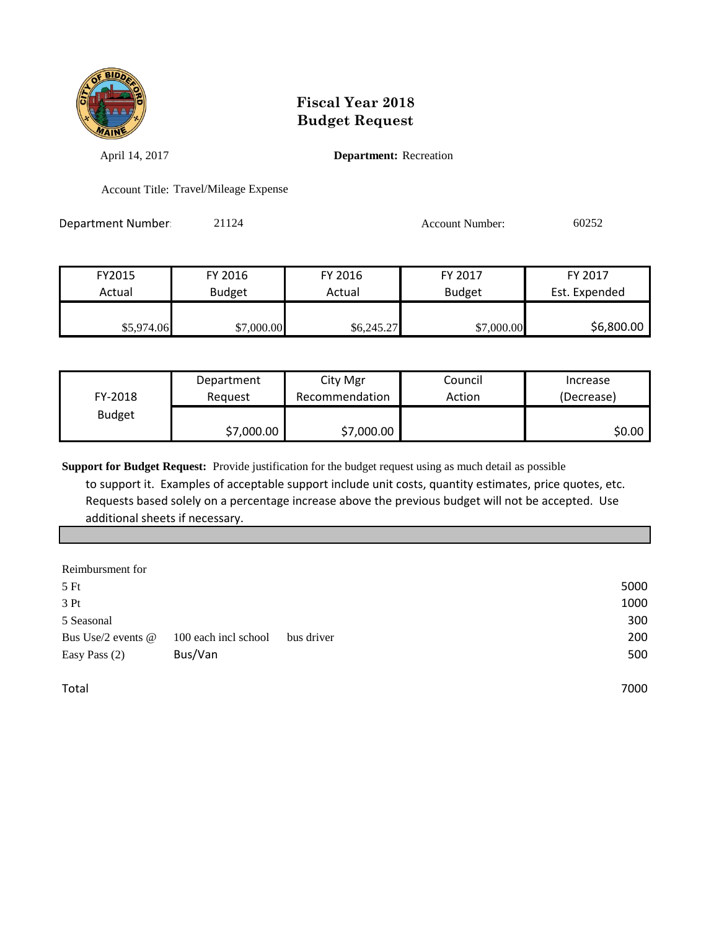

April 14, 2017 **Department:** Recreation

Account Title: Travel/Mileage Expense

Department Number: 21124 Account Number: 60252

| FY2015     | FY 2016       | FY 2016    | FY 2017       | FY 2017       |
|------------|---------------|------------|---------------|---------------|
| Actual     | <b>Budget</b> | Actual     | <b>Budget</b> | Est. Expended |
| \$5,974.06 | \$7,000.00    | \$6,245.27 | \$7,000.00    | \$6,800.00    |

|               | Department | City Mgr       | Council | Increase   |
|---------------|------------|----------------|---------|------------|
| FY-2018       | Reauest    | Recommendation | Action  | (Decrease) |
| <b>Budget</b> |            |                |         |            |
|               | \$7,000.00 | \$7,000.00     |         | \$0.00     |

**Support for Budget Request:** Provide justification for the budget request using as much detail as possible

 to support it. Examples of acceptable support include unit costs, quantity estimates, price quotes, etc. Requests based solely on a percentage increase above the previous budget will not be accepted. Use additional sheets if necessary.

| Reimbursment for   |                      |            |      |
|--------------------|----------------------|------------|------|
| 5Ft                |                      |            | 5000 |
| 3 Pt               |                      |            | 1000 |
| 5 Seasonal         |                      |            | 300  |
| Bus Use/2 events @ | 100 each incl school | bus driver | 200  |
| Easy Pass $(2)$    | Bus/Van              |            | 500  |
|                    |                      |            |      |

Total 7000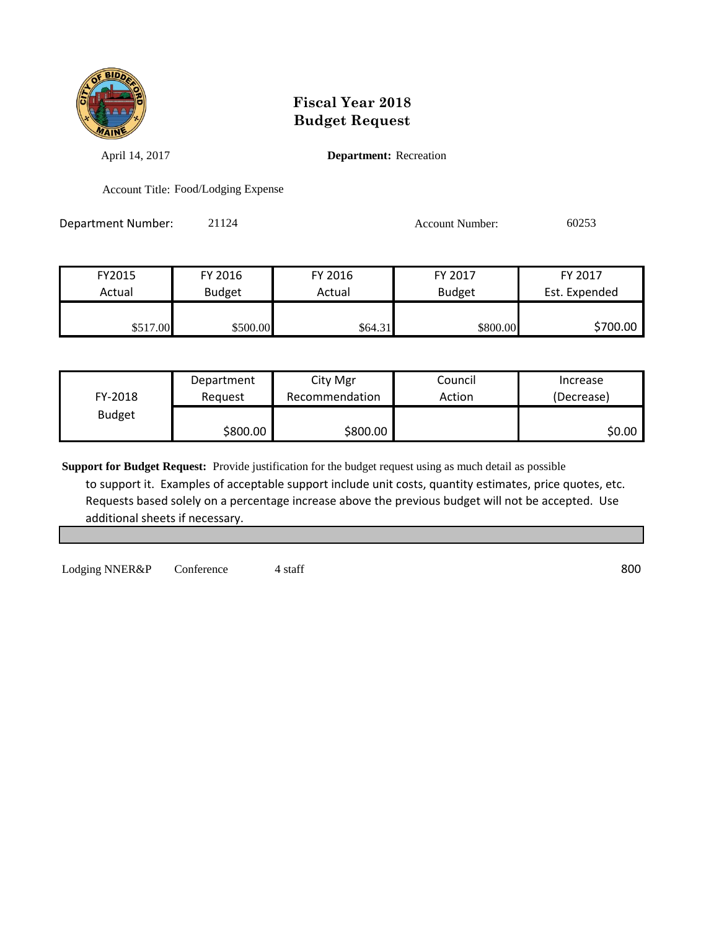

April 14, 2017 **Department:** Recreation

Account Title: Food/Lodging Expense

Department Number: 21124 21124 Account Number: 60253

| FY2015   | FY 2016       | FY 2016 | FY 2017       | FY 2017       |
|----------|---------------|---------|---------------|---------------|
| Actual   | <b>Budget</b> | Actual  | <b>Budget</b> | Est. Expended |
| \$517.00 | \$500.00      | \$64.31 | \$800.00      | \$700.00      |

|               | Department | City Mgr       | Council | Increase   |
|---------------|------------|----------------|---------|------------|
| FY-2018       | Reguest    | Recommendation | Action  | (Decrease) |
| <b>Budget</b> |            |                |         |            |
|               | \$800.00   | \$800.00       |         | \$0.00     |

**Support for Budget Request:** Provide justification for the budget request using as much detail as possible to support it. Examples of acceptable support include unit costs, quantity estimates, price quotes, etc. Requests based solely on a percentage increase above the previous budget will not be accepted. Use additional sheets if necessary.

Lodging NNER&P Conference 4 staff 800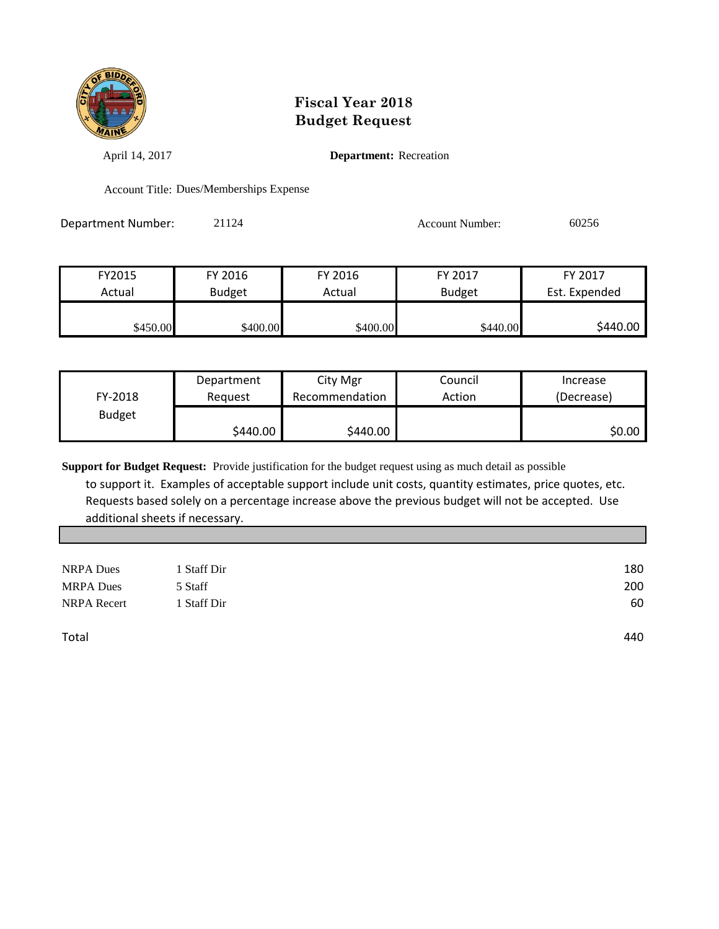

April 14, 2017 **Department:** Recreation

Account Title: Dues/Memberships Expense

| Department Number: | 21124 | <b>Account Number:</b> | 60256 |
|--------------------|-------|------------------------|-------|
|--------------------|-------|------------------------|-------|

| FY2015   | FY 2016       | FY 2016  | FY 2017       | FY 2017       |
|----------|---------------|----------|---------------|---------------|
| Actual   | <b>Budget</b> | Actual   | <b>Budget</b> | Est. Expended |
|          |               |          |               |               |
| \$450.00 | \$400.00      | \$400.00 | \$440.00      | \$440.00      |

|               | Department | City Mgr       | Council | Increase   |
|---------------|------------|----------------|---------|------------|
| FY-2018       | Reauest    | Recommendation | Action  | (Decrease) |
| <b>Budget</b> |            |                |         |            |
|               | \$440.00   | \$440.00       |         | \$0.00     |

| <b>NRPA</b> Dues   | 1 Staff Dir | 180 |
|--------------------|-------------|-----|
| <b>MRPA</b> Dues   | 5 Staff     | 200 |
| <b>NRPA</b> Recert | 1 Staff Dir | 60  |
| Total              |             | 440 |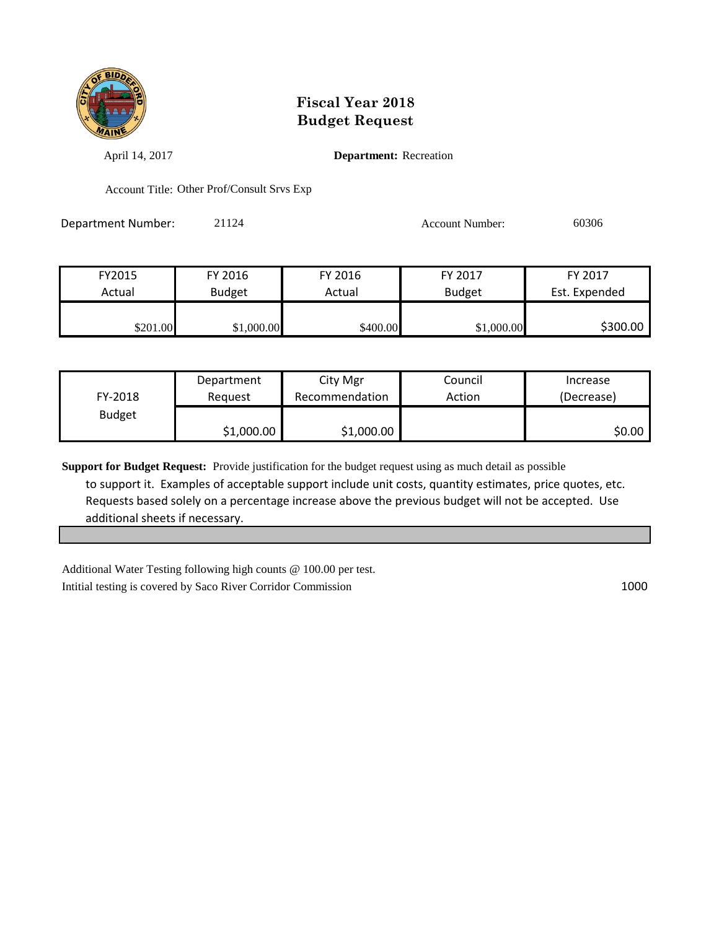

April 14, 2017 **Department:** Recreation

Account Title: Other Prof/Consult Srvs Exp

| <b>Department Number:</b> | 21124 | <b>Account Number:</b> | 60306 |
|---------------------------|-------|------------------------|-------|
|---------------------------|-------|------------------------|-------|

| FY2015   | FY 2016       | FY 2016  | FY 2017       | FY 2017       |
|----------|---------------|----------|---------------|---------------|
| Actual   | <b>Budget</b> | Actual   | <b>Budget</b> | Est. Expended |
| \$201.00 | \$1,000.00    | \$400.00 | \$1,000.00    | \$300.00      |

|               | Department | City Mgr       | Council | Increase   |
|---------------|------------|----------------|---------|------------|
| FY-2018       | Reguest    | Recommendation | Action  | (Decrease) |
| <b>Budget</b> |            |                |         |            |
|               | \$1,000.00 | \$1,000.00     |         | \$0.00     |

**Support for Budget Request:** Provide justification for the budget request using as much detail as possible to support it. Examples of acceptable support include unit costs, quantity estimates, price quotes, etc. Requests based solely on a percentage increase above the previous budget will not be accepted. Use additional sheets if necessary.

Additional Water Testing following high counts @ 100.00 per test. Intitial testing is covered by Saco River Corridor Commission 1000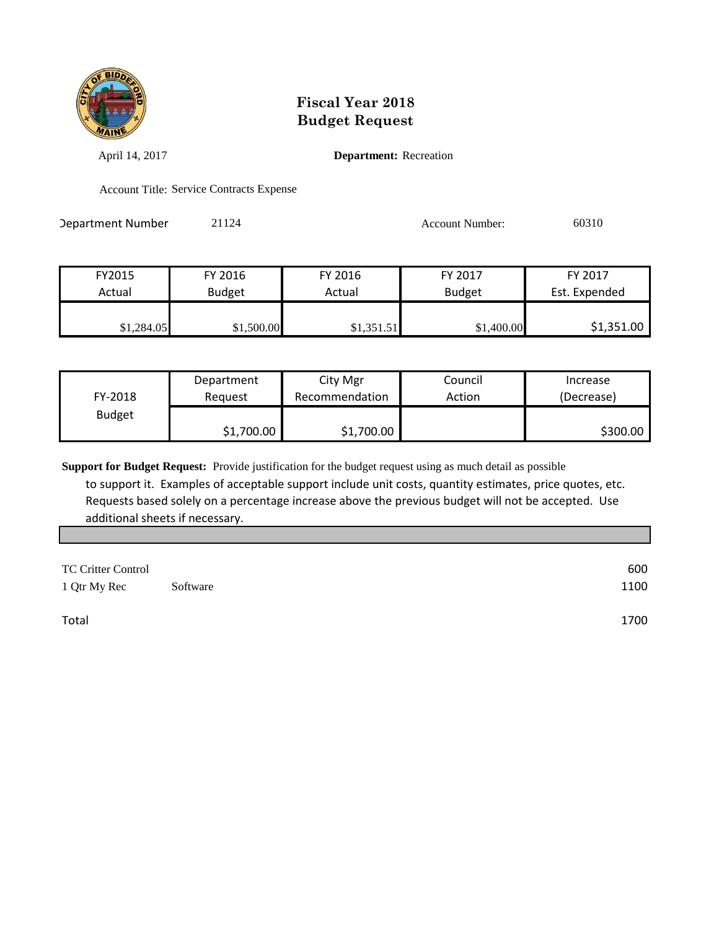

April 14, 2017 **Department:** Recreation

Account Title: Service Contracts Expense

| Department Number | 21124 | <b>Account Number:</b> | 60310 |
|-------------------|-------|------------------------|-------|
|                   |       |                        |       |

| FY2015     | FY 2016       | FY 2016    | FY 2017       | FY 2017       |
|------------|---------------|------------|---------------|---------------|
| Actual     | <b>Budget</b> | Actual     | <b>Budget</b> | Est. Expended |
| \$1,284.05 | \$1,500.00    | \$1,351.51 | \$1,400.00    | \$1,351.00    |

|               | Department | City Mgr       | Council | Increase   |
|---------------|------------|----------------|---------|------------|
| FY-2018       | Reauest    | Recommendation | Action  | (Decrease) |
| <b>Budget</b> |            |                |         |            |
|               | \$1,700.00 | \$1,700.00     |         | \$300.00   |

**Support for Budget Request:** Provide justification for the budget request using as much detail as possible

 to support it. Examples of acceptable support include unit costs, quantity estimates, price quotes, etc. Requests based solely on a percentage increase above the previous budget will not be accepted. Use additional sheets if necessary.

| <b>TC Critter Control</b><br>1 Qtr My Rec | Software | 600<br>1100 |
|-------------------------------------------|----------|-------------|
| Total                                     |          | 1700        |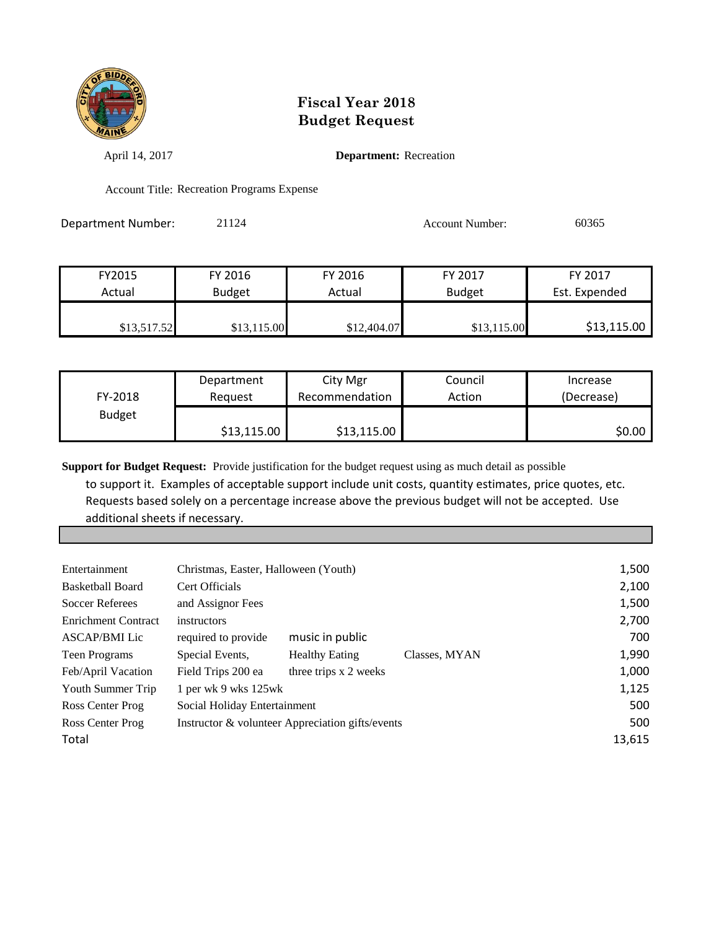

April 14, 2017 **Department:** Recreation

Account Title: Recreation Programs Expense

Department Number: 21124 21124 Account Number: 60365

| FY2015      | FY 2016       | FY 2016     | FY 2017       | FY 2017       |
|-------------|---------------|-------------|---------------|---------------|
| Actual      | <b>Budget</b> | Actual      | <b>Budget</b> | Est. Expended |
| \$13,517.52 | \$13,115.00   | \$12,404.07 | \$13,115.00   | \$13,115.00   |

|               | Department  | City Mgr       | Council | Increase   |
|---------------|-------------|----------------|---------|------------|
| FY-2018       | Reauest     | Recommendation | Action  | (Decrease) |
| <b>Budget</b> |             |                |         |            |
|               | \$13,115.00 | \$13,115.00    |         | \$0.00     |

**Support for Budget Request:** Provide justification for the budget request using as much detail as possible

 to support it. Examples of acceptable support include unit costs, quantity estimates, price quotes, etc. Requests based solely on a percentage increase above the previous budget will not be accepted. Use additional sheets if necessary.

|                     |                       |                                                                                              | 1,500                                                                     |
|---------------------|-----------------------|----------------------------------------------------------------------------------------------|---------------------------------------------------------------------------|
| Cert Officials      |                       |                                                                                              | 2,100                                                                     |
| and Assignor Fees   |                       |                                                                                              | 1,500                                                                     |
| instructors         |                       |                                                                                              | 2,700                                                                     |
| required to provide | music in public       |                                                                                              | 700                                                                       |
| Special Events,     | <b>Healthy Eating</b> | Classes, MYAN                                                                                | 1,990                                                                     |
| Field Trips 200 ea  |                       |                                                                                              | 1,000                                                                     |
|                     |                       |                                                                                              | 1,125                                                                     |
|                     |                       |                                                                                              | 500                                                                       |
|                     |                       |                                                                                              | 500                                                                       |
|                     |                       |                                                                                              | 13,615                                                                    |
|                     |                       | Christmas, Easter, Halloween (Youth)<br>1 per wk 9 wks 125wk<br>Social Holiday Entertainment | three trips x 2 weeks<br>Instructor & volunteer Appreciation gifts/events |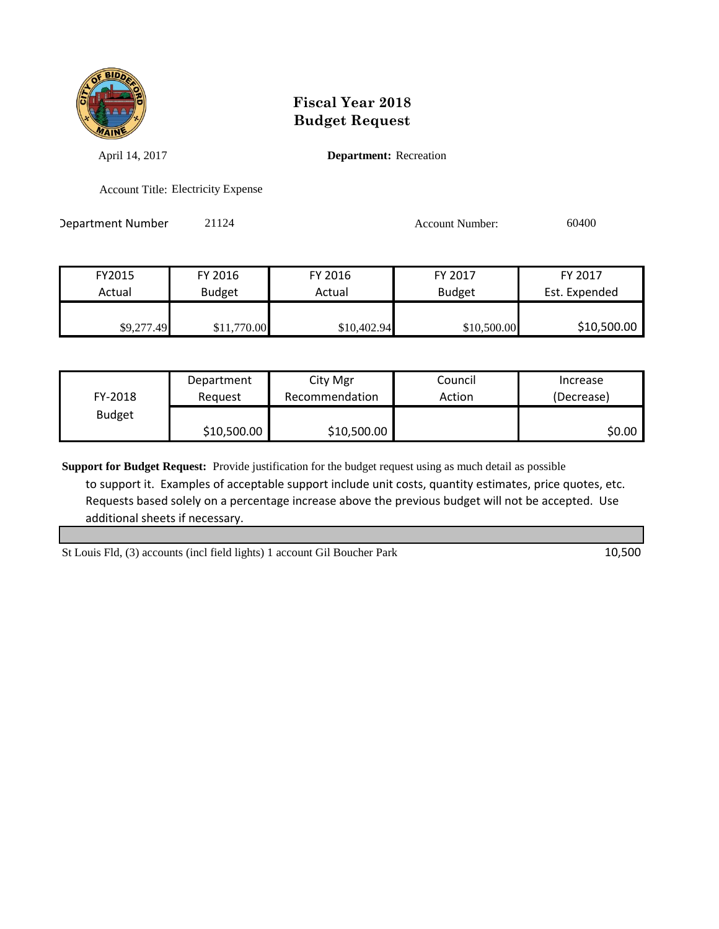

April 14, 2017 **Department:** Recreation

Account Title: Electricity Expense

Department Number 21124 2000 2012 2020 Account Number: 60400

| FY2015     | FY 2016       | FY 2016     | FY 2017       | FY 2017       |
|------------|---------------|-------------|---------------|---------------|
| Actual     | <b>Budget</b> | Actual      | <b>Budget</b> | Est. Expended |
|            |               |             |               |               |
| \$9,277.49 | \$11,770.00   | \$10,402.94 | \$10,500.00   | \$10,500.00   |

|               | Department  | City Mgr       | Council | Increase   |
|---------------|-------------|----------------|---------|------------|
| FY-2018       | Reauest     | Recommendation | Action  | (Decrease) |
| <b>Budget</b> |             |                |         |            |
|               | \$10,500.00 | \$10,500.00    |         | \$0.00     |

**Support for Budget Request:** Provide justification for the budget request using as much detail as possible to support it. Examples of acceptable support include unit costs, quantity estimates, price quotes, etc. Requests based solely on a percentage increase above the previous budget will not be accepted. Use additional sheets if necessary.

St Louis Fld, (3) accounts (incl field lights) 1 account Gil Boucher Park 10,500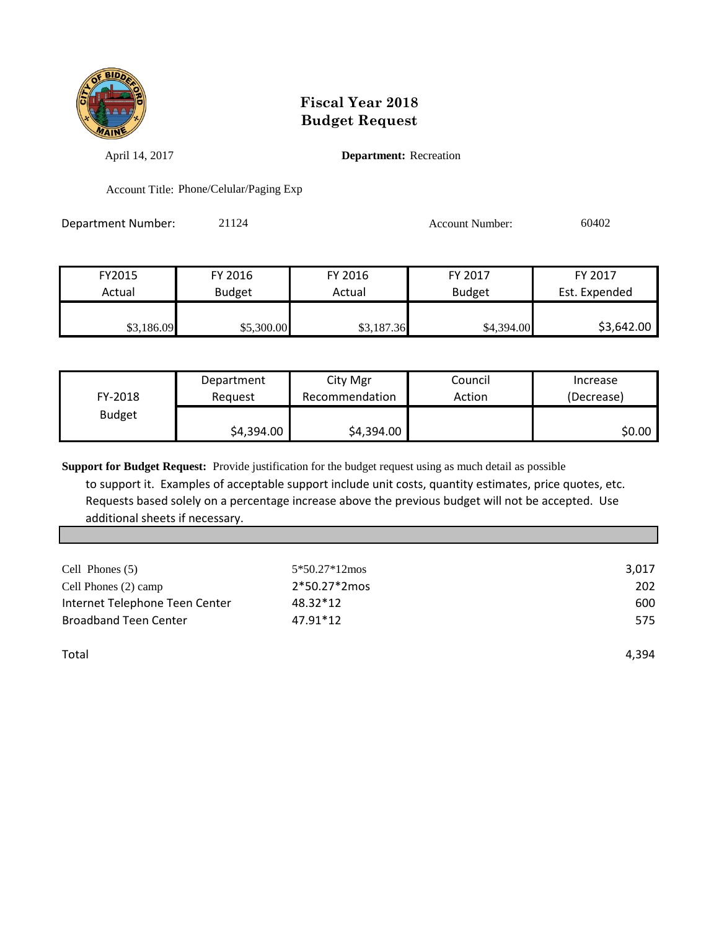

April 14, 2017 **Department:** Recreation

Account Title: Phone/Celular/Paging Exp

Department Number: 21124 21124 Account Number: 60402

| FY2015     | FY 2016       | FY 2016    | FY 2017       | FY 2017       |
|------------|---------------|------------|---------------|---------------|
| Actual     | <b>Budget</b> | Actual     | <b>Budget</b> | Est. Expended |
| \$3,186.09 | \$5,300.00    | \$3,187.36 | \$4,394.00    | \$3,642.00    |

|               | Department | City Mgr       | Council | Increase   |
|---------------|------------|----------------|---------|------------|
| FY-2018       | Reguest    | Recommendation | Action  | (Decrease) |
| <b>Budget</b> |            |                |         |            |
|               | \$4,394.00 | \$4,394.00     |         | S0.00      |

**Support for Budget Request:** Provide justification for the budget request using as much detail as possible

 to support it. Examples of acceptable support include unit costs, quantity estimates, price quotes, etc. Requests based solely on a percentage increase above the previous budget will not be accepted. Use additional sheets if necessary.

| Cell Phones (5)                | 5*50.27*12mos | 3,017 |
|--------------------------------|---------------|-------|
| Cell Phones (2) camp           | 2*50.27*2mos  | 202   |
| Internet Telephone Teen Center | 48.32*12      | 600   |
| <b>Broadband Teen Center</b>   | 47.91*12      | 575   |
|                                |               |       |
| Total                          |               | 4.394 |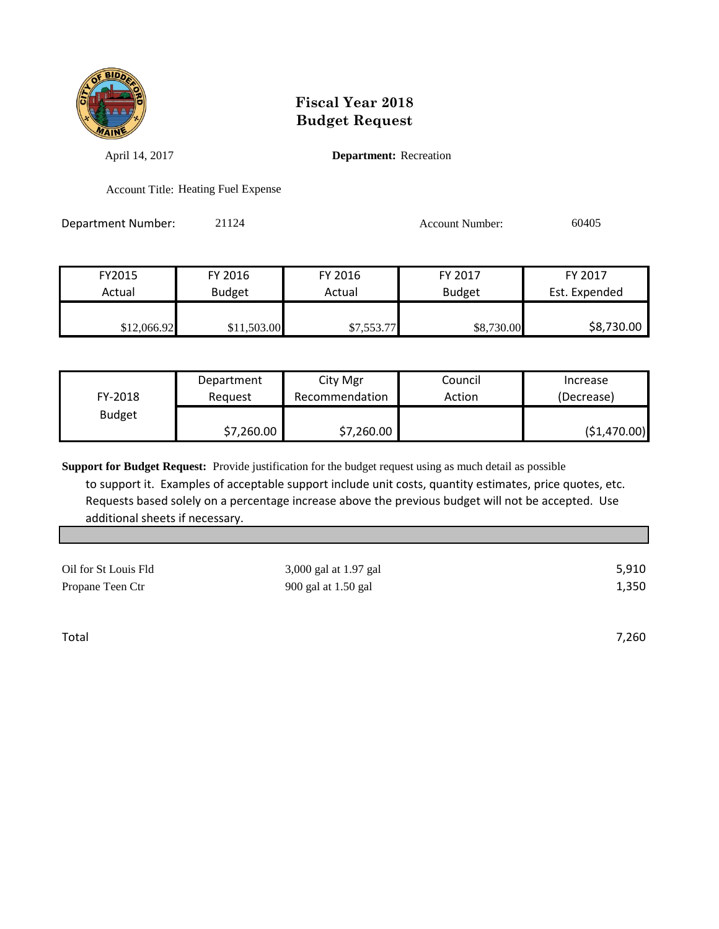

April 14, 2017 **Department:** Recreation

Account Title: Heating Fuel Expense

| Department Number: | 21124 | <b>Account Number:</b> | 60405 |
|--------------------|-------|------------------------|-------|
|                    |       |                        |       |

| FY2015      | FY 2016       | FY 2016    | FY 2017       | FY 2017       |
|-------------|---------------|------------|---------------|---------------|
| Actual      | <b>Budget</b> | Actual     | <b>Budget</b> | Est. Expended |
|             |               |            |               |               |
| \$12,066.92 | \$11,503.00   | \$7,553.77 | \$8,730.00    | \$8,730.00    |

|               | Department | City Mgr       | Council | Increase     |
|---------------|------------|----------------|---------|--------------|
| FY-2018       | Reguest    | Recommendation | Action  | (Decrease)   |
| <b>Budget</b> |            |                |         |              |
|               | \$7,260.00 | \$7,260.00     |         | (51, 470.00) |

**Support for Budget Request:** Provide justification for the budget request using as much detail as possible to support it. Examples of acceptable support include unit costs, quantity estimates, price quotes, etc.

 Requests based solely on a percentage increase above the previous budget will not be accepted. Use additional sheets if necessary.

| Oil for St Louis Fld | 3,000 gal at 1.97 gal | 5,910 |
|----------------------|-----------------------|-------|
| Propane Teen Ctr     | 900 gal at 1.50 gal   | 1,350 |

Total 7,260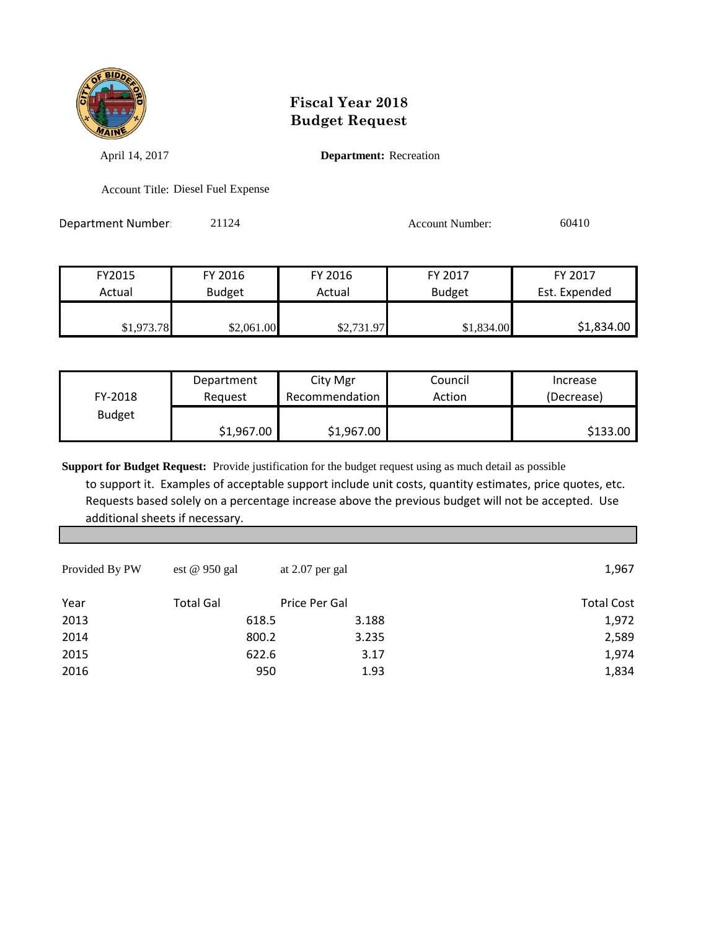

April 14, 2017 **Department:** Recreation

Account Title: Diesel Fuel Expense

Department Number: 21124 21124 Account Number: 60410

| FY2015     | FY 2016       | FY 2016    | FY 2017       | FY 2017       |
|------------|---------------|------------|---------------|---------------|
| Actual     | <b>Budget</b> | Actual     | <b>Budget</b> | Est. Expended |
| \$1,973.78 | \$2,061.00    | \$2,731.97 | \$1,834.00    | \$1,834.00    |

|               | Department | City Mgr       | Council | Increase   |
|---------------|------------|----------------|---------|------------|
| FY-2018       | Reauest    | Recommendation | Action  | (Decrease) |
| <b>Budget</b> |            |                |         |            |
|               | \$1,967.00 | \$1,967.00     |         | \$133.00   |

| Provided By PW | est @ 950 gal    | at 2.07 per gal |       | 1,967             |
|----------------|------------------|-----------------|-------|-------------------|
| Year           | <b>Total Gal</b> | Price Per Gal   |       | <b>Total Cost</b> |
| 2013           | 618.5            |                 | 3.188 | 1,972             |
| 2014           | 800.2            |                 | 3.235 | 2,589             |
| 2015           | 622.6            |                 | 3.17  | 1,974             |
| 2016           | 950              |                 | 1.93  | 1,834             |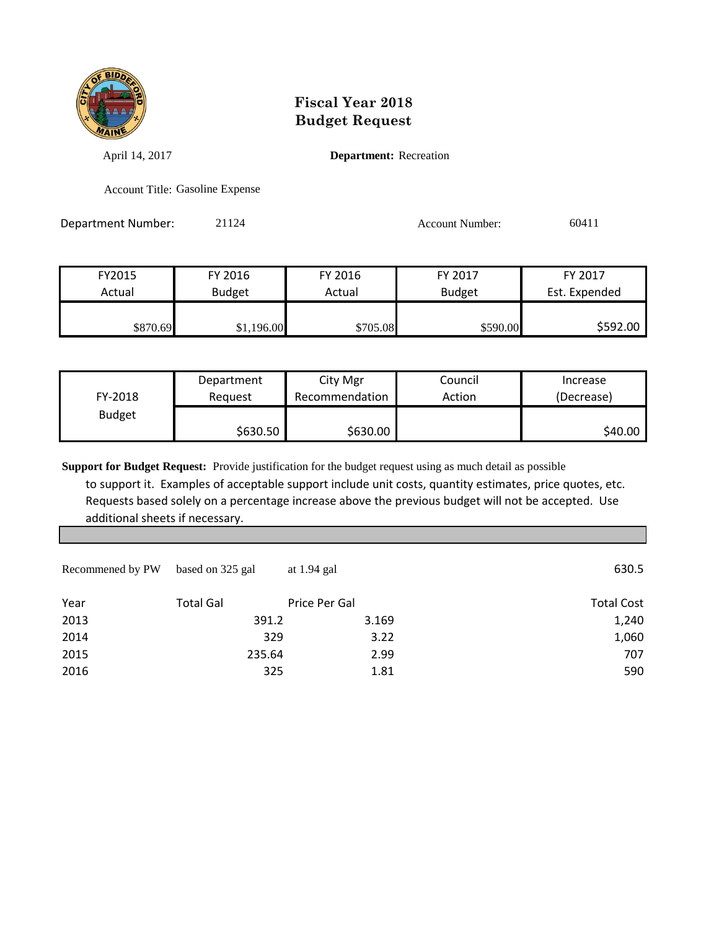

April 14, 2017 **Department:** Recreation

Account Title: Gasoline Expense

| Department Number: | 21124 | Account Number: | 60411 |
|--------------------|-------|-----------------|-------|
|                    |       |                 |       |

| FY2015   | FY 2016       | FY 2016  | FY 2017       | FY 2017       |
|----------|---------------|----------|---------------|---------------|
| Actual   | <b>Budget</b> | Actual   | <b>Budget</b> | Est. Expended |
|          |               |          |               |               |
| \$870.69 | \$1,196.00    | \$705.08 | \$590.00      | \$592.00      |

|               | Department | City Mgr         | Council | Increase   |
|---------------|------------|------------------|---------|------------|
| FY-2018       | Reauest    | Recommendation I | Action  | (Decrease) |
| <b>Budget</b> |            |                  |         |            |
|               | \$630.50   | \$630.00         |         | \$40.00    |

| Recommened by PW | based on 325 gal | at 1.94 gal   | 630.5             |
|------------------|------------------|---------------|-------------------|
| Year             | <b>Total Gal</b> | Price Per Gal | <b>Total Cost</b> |
| 2013             | 391.2            | 3.169         | 1,240             |
| 2014             | 329              | 3.22          | 1,060             |
| 2015             | 235.64           | 2.99          | 707               |
| 2016             | 325              | 1.81          | 590               |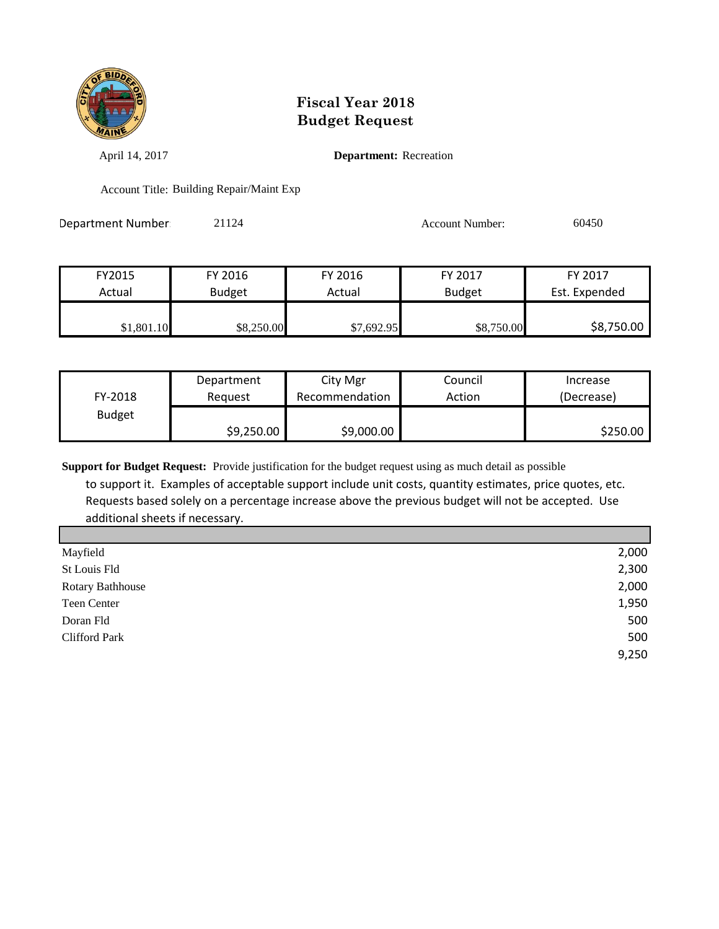

April 14, 2017 **Department:** Recreation

Account Title: Building Repair/Maint Exp

| Department Number | 21124 | Account Number: | 60450 |
|-------------------|-------|-----------------|-------|
|                   |       |                 |       |

| FY2015     | FY 2016       | FY 2016    | FY 2017       | FY 2017       |
|------------|---------------|------------|---------------|---------------|
| Actual     | <b>Budget</b> | Actual     | <b>Budget</b> | Est. Expended |
|            |               |            |               |               |
| \$1,801.10 | \$8,250.00    | \$7,692.95 | \$8,750.00    | \$8,750.00    |

|               | Department | City Mgr       | Council | Increase   |
|---------------|------------|----------------|---------|------------|
| FY-2018       | Reauest    | Recommendation | Action  | (Decrease) |
| <b>Budget</b> |            |                |         |            |
|               | \$9,250.00 | \$9,000.00     |         | \$250.00   |

**Support for Budget Request:** Provide justification for the budget request using as much detail as possible

 to support it. Examples of acceptable support include unit costs, quantity estimates, price quotes, etc. Requests based solely on a percentage increase above the previous budget will not be accepted. Use additional sheets if necessary.

| 2,000 |
|-------|
| 2,300 |
| 2,000 |
| 1,950 |
| 500   |
| 500   |
| 9,250 |
|       |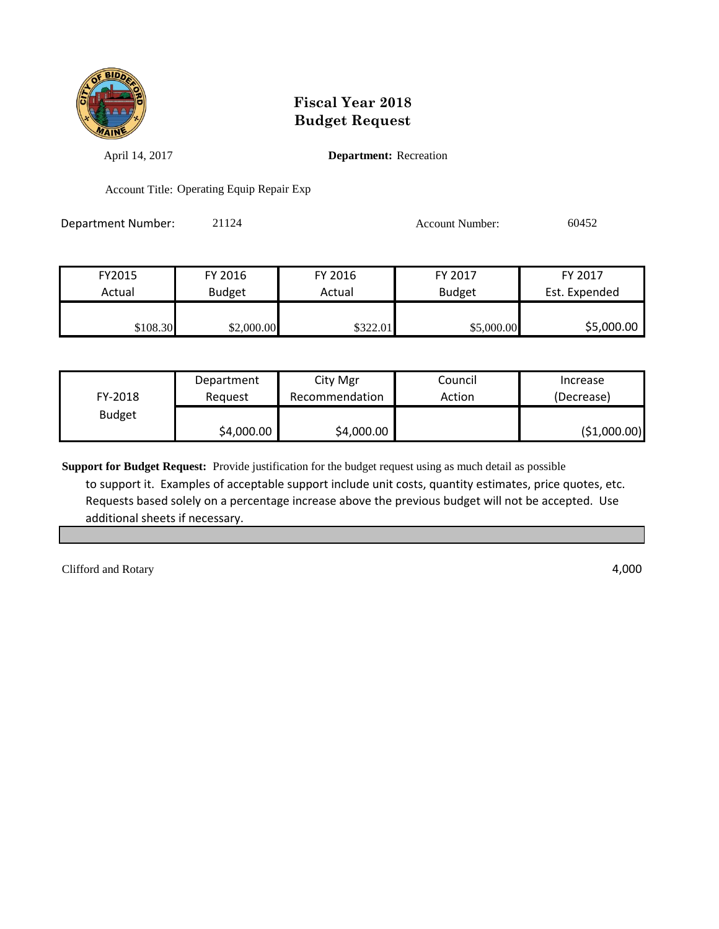

April 14, 2017 **Department:** Recreation

Account Title: Operating Equip Repair Exp

Department Number: 21124 2009 2012 2020 Account Number: 60452

| FY2015   | FY 2016       | FY 2016  | FY 2017       | FY 2017       |
|----------|---------------|----------|---------------|---------------|
| Actual   | <b>Budget</b> | Actual   | <b>Budget</b> | Est. Expended |
| \$108.30 | \$2,000.00    | \$322.01 | \$5,000.00    | \$5,000.00    |

|               | Department | City Mgr       | Council | Increase      |
|---------------|------------|----------------|---------|---------------|
| FY-2018       | Reauest    | Recommendation | Action  | (Decrease)    |
| <b>Budget</b> |            |                |         |               |
|               | \$4,000.00 | \$4,000.00     |         | ( \$1,000.00) |

**Support for Budget Request:** Provide justification for the budget request using as much detail as possible to support it. Examples of acceptable support include unit costs, quantity estimates, price quotes, etc. Requests based solely on a percentage increase above the previous budget will not be accepted. Use additional sheets if necessary.

Clifford and Rotary 4,000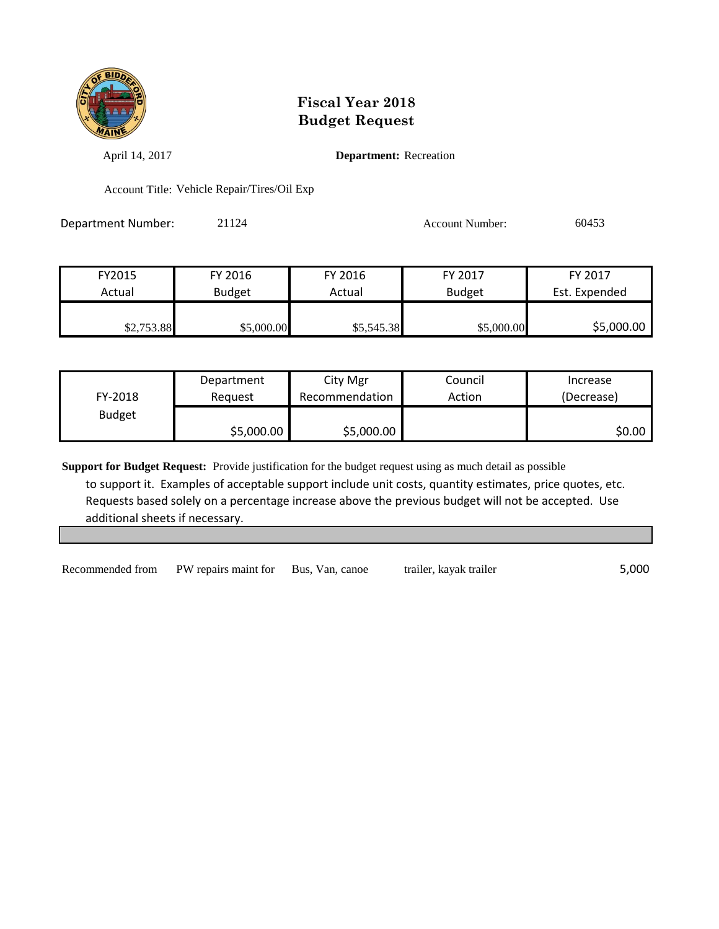

April 14, 2017 **Department:** Recreation

Account Title: Vehicle Repair/Tires/Oil Exp

Department Number: 21124 21124 Account Number: 60453

| FY2015     | FY 2016       | FY 2016    | FY 2017       | FY 2017       |
|------------|---------------|------------|---------------|---------------|
| Actual     | <b>Budget</b> | Actual     | <b>Budget</b> | Est. Expended |
|            |               |            |               |               |
| \$2,753.88 | \$5,000.00    | \$5,545.38 | \$5,000.00    | \$5,000.00    |

|               | Department | City Mgr       | Council | Increase   |
|---------------|------------|----------------|---------|------------|
| FY-2018       | Reauest    | Recommendation | Action  | (Decrease) |
| <b>Budget</b> |            |                |         |            |
|               | \$5,000.00 | \$5,000.00     |         | \$0.00     |

**Support for Budget Request:** Provide justification for the budget request using as much detail as possible to support it. Examples of acceptable support include unit costs, quantity estimates, price quotes, etc. Requests based solely on a percentage increase above the previous budget will not be accepted. Use additional sheets if necessary.

Recommended from PW repairs maint for Bus, Van, canoe trailer, kayak trailer 5,000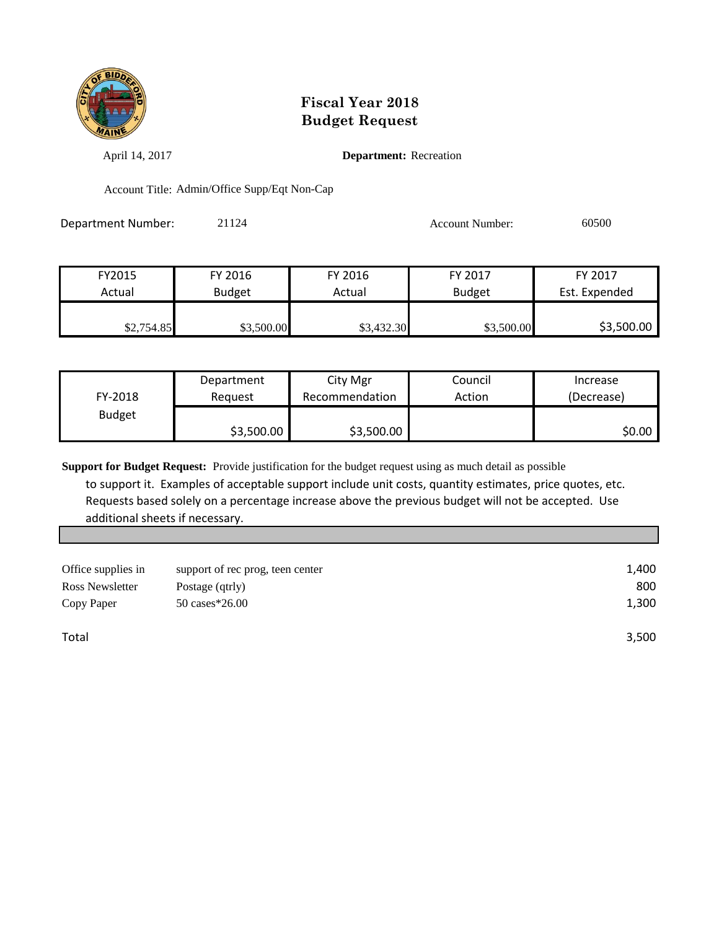

April 14, 2017 **Department:** Recreation

Account Title: Admin/Office Supp/Eqt Non-Cap

Department Number: 21124 21124 Account Number: 60500

| FY2015     | FY 2016       | FY 2016    | FY 2017       | FY 2017       |
|------------|---------------|------------|---------------|---------------|
| Actual     | <b>Budget</b> | Actual     | <b>Budget</b> | Est. Expended |
|            |               |            |               |               |
| \$2,754.85 | \$3,500.00    | \$3,432.30 | \$3,500.00    | \$3,500.00    |

|               | Department | City Mgr       | Council | Increase   |
|---------------|------------|----------------|---------|------------|
| FY-2018       | Reguest    | Recommendation | Action  | (Decrease) |
| <b>Budget</b> |            |                |         |            |
|               | \$3,500.00 | \$3,500.00     |         | \$0.00     |

**Support for Budget Request:** Provide justification for the budget request using as much detail as possible

 to support it. Examples of acceptable support include unit costs, quantity estimates, price quotes, etc. Requests based solely on a percentage increase above the previous budget will not be accepted. Use additional sheets if necessary.

| Office supplies in | support of rec prog, teen center | 1,400 |
|--------------------|----------------------------------|-------|
| Ross Newsletter    | Postage (qtrly)                  | 800   |
| Copy Paper         | 50 cases*26.00                   | 1,300 |
|                    |                                  |       |
| Total              |                                  | 3,500 |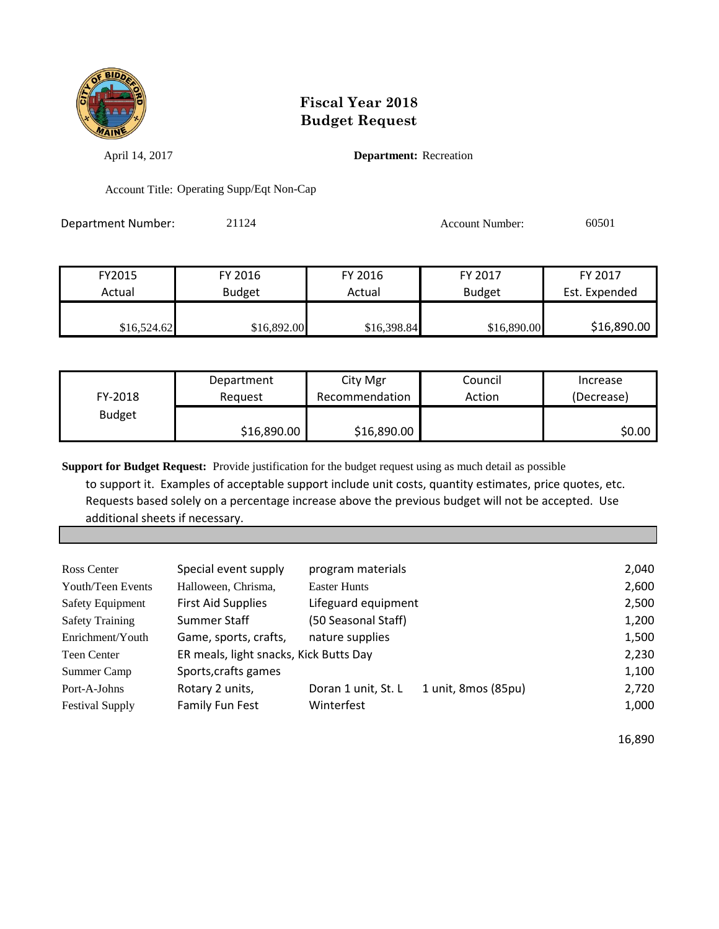

April 14, 2017 **Department:** Recreation

Account Title: Operating Supp/Eqt Non-Cap

Department Number: 21124 21124 Account Number: 60501

| FY2015      | FY 2016       | FY 2016     | FY 2017       | FY 2017       |
|-------------|---------------|-------------|---------------|---------------|
| Actual      | <b>Budget</b> | Actual      | <b>Budget</b> | Est. Expended |
| \$16,524.62 | \$16,892.00   | \$16,398.84 | \$16,890.00   | \$16,890.00   |

|               | Department  | City Mgr       | Council | Increase   |
|---------------|-------------|----------------|---------|------------|
| FY-2018       | Reauest     | Recommendation | Action  | (Decrease) |
| <b>Budget</b> |             |                |         |            |
|               | \$16,890.00 | \$16,890.00    |         | \$0.00     |

**Support for Budget Request:** Provide justification for the budget request using as much detail as possible

 to support it. Examples of acceptable support include unit costs, quantity estimates, price quotes, etc. Requests based solely on a percentage increase above the previous budget will not be accepted. Use additional sheets if necessary.

| Ross Center             | Special event supply                   | program materials   |                     | 2,040 |
|-------------------------|----------------------------------------|---------------------|---------------------|-------|
| Youth/Teen Events       | Halloween, Chrisma,                    | <b>Easter Hunts</b> |                     | 2,600 |
| <b>Safety Equipment</b> | <b>First Aid Supplies</b>              | Lifeguard equipment |                     | 2,500 |
| <b>Safety Training</b>  | Summer Staff                           | (50 Seasonal Staff) |                     | 1,200 |
| Enrichment/Youth        | Game, sports, crafts,                  | nature supplies     |                     | 1,500 |
| Teen Center             | ER meals, light snacks, Kick Butts Day |                     |                     | 2,230 |
| Summer Camp             | Sports, crafts games                   |                     |                     | 1,100 |
| Port-A-Johns            | Rotary 2 units,                        | Doran 1 unit, St. L | 1 unit, 8mos (85pu) | 2,720 |
| <b>Festival Supply</b>  | <b>Family Fun Fest</b>                 | Winterfest          |                     | 1,000 |
|                         |                                        |                     |                     |       |

16,890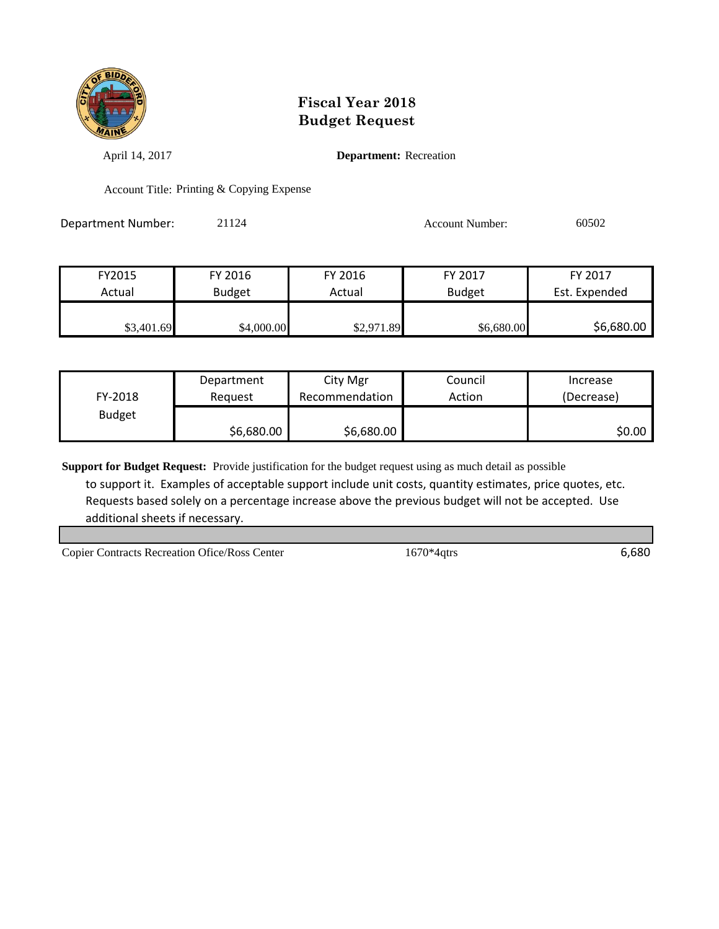

April 14, 2017 **Department:** Recreation

Account Title: Printing & Copying Expense

Department Number: 21124 21124 Account Number: 60502

| FY2015     | FY 2016       | FY 2016    | FY 2017       | FY 2017       |
|------------|---------------|------------|---------------|---------------|
| Actual     | <b>Budget</b> | Actual     | <b>Budget</b> | Est. Expended |
|            |               |            |               |               |
| \$3,401.69 | \$4,000.00    | \$2,971.89 | \$6,680.00    | \$6,680.00    |

|               | Department | City Mgr       | Council | Increase   |
|---------------|------------|----------------|---------|------------|
| FY-2018       | Reguest    | Recommendation | Action  | (Decrease) |
| <b>Budget</b> |            |                |         |            |
|               | \$6,680.00 | \$6,680.00     |         | S0.00      |

**Support for Budget Request:** Provide justification for the budget request using as much detail as possible

 to support it. Examples of acceptable support include unit costs, quantity estimates, price quotes, etc. Requests based solely on a percentage increase above the previous budget will not be accepted. Use additional sheets if necessary.

Copier Contracts Recreation Ofice/Ross Center 1670\*4qtrs 6,680